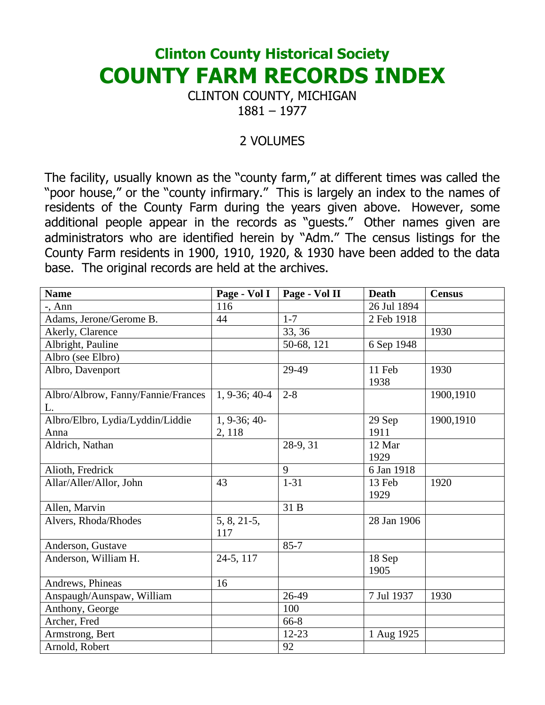## Clinton County Historical Society COUNTY FARM RECORDS INDEX

CLINTON COUNTY, MICHIGAN 1881 – 1977

## 2 VOLUMES

The facility, usually known as the "county farm," at different times was called the "poor house," or the "county infirmary." This is largely an index to the names of residents of the County Farm during the years given above. However, some additional people appear in the records as "guests." Other names given are administrators who are identified herein by "Adm." The census listings for the County Farm residents in 1900, 1910, 1920, & 1930 have been added to the data base. The original records are held at the archives.

| <b>Name</b>                        | Page - Vol I   | Page - Vol II | <b>Death</b> | <b>Census</b> |
|------------------------------------|----------------|---------------|--------------|---------------|
| $-$ , Ann                          | 116            |               | 26 Jul 1894  |               |
| Adams, Jerone/Gerome B.            | 44             | $1 - 7$       | 2 Feb 1918   |               |
| Akerly, Clarence                   |                | 33, 36        |              | 1930          |
| Albright, Pauline                  |                | 50-68, 121    | 6 Sep 1948   |               |
| Albro (see Elbro)                  |                |               |              |               |
| Albro, Davenport                   |                | 29-49         | 11 Feb       | 1930          |
|                                    |                |               | 1938         |               |
| Albro/Albrow, Fanny/Fannie/Frances | 1, 9-36; 40-4  | $2 - 8$       |              | 1900,1910     |
| L.                                 |                |               |              |               |
| Albro/Elbro, Lydia/Lyddin/Liddie   | $1, 9-36; 40-$ |               | 29 Sep       | 1900,1910     |
| Anna                               | 2, 118         |               | 1911         |               |
| Aldrich, Nathan                    |                | 28-9, 31      | 12 Mar       |               |
|                                    |                |               | 1929         |               |
| Alioth, Fredrick                   |                | 9             | 6 Jan 1918   |               |
| Allar/Aller/Allor, John            | 43             | $1 - 31$      | 13 Feb       | 1920          |
|                                    |                |               | 1929         |               |
| Allen, Marvin                      |                | 31 B          |              |               |
| Alvers, Rhoda/Rhodes               | $5, 8, 21-5,$  |               | 28 Jan 1906  |               |
|                                    | 117            |               |              |               |
| Anderson, Gustave                  |                | $85 - 7$      |              |               |
| Anderson, William H.               | 24-5, 117      |               | 18 Sep       |               |
|                                    |                |               | 1905         |               |
| Andrews, Phineas                   | 16             |               |              |               |
| Anspaugh/Aunspaw, William          |                | 26-49         | 7 Jul 1937   | 1930          |
| Anthony, George                    |                | 100           |              |               |
| Archer, Fred                       |                | 66-8          |              |               |
| Armstrong, Bert                    |                | $12 - 23$     | 1 Aug 1925   |               |
| Arnold, Robert                     |                | 92            |              |               |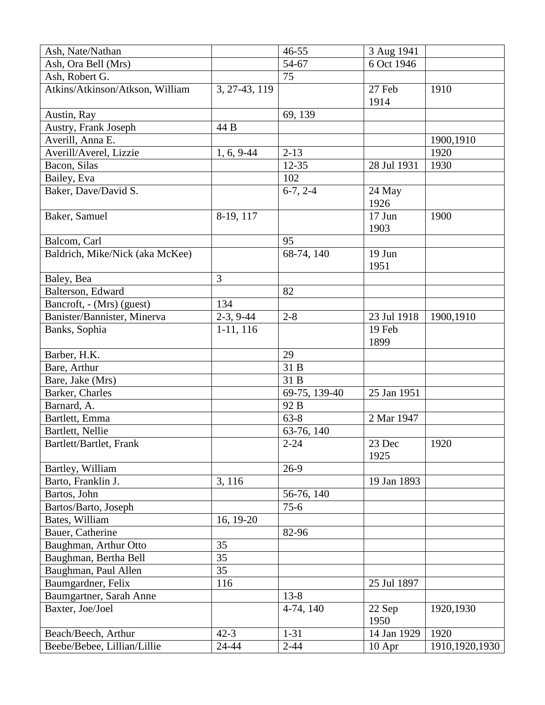| 54-67<br>6 Oct 1946<br>Ash, Ora Bell (Mrs)<br>75<br>Ash, Robert G.<br>Atkins/Atkinson/Atkson, William<br>27 Feb<br>3, 27-43, 119<br>1910<br>1914<br>69, 139<br>Austin, Ray<br>Austry, Frank Joseph<br>44 B<br>Averill, Anna E.<br>1900,1910<br>Averill/Averel, Lizzie<br>$2 - 13$<br>1920<br>$1, 6, 9-44$<br>28 Jul 1931<br>Bacon, Silas<br>$12 - 35$<br>1930<br>102<br>Bailey, Eva<br>Baker, Dave/David S.<br>$6-7, 2-4$<br>24 May<br>1926<br>Baker, Samuel<br>8-19, 117<br>$17$ Jun<br>1900<br>1903<br>95<br>Balcom, Carl<br>68-74, 140<br>19 Jun<br>Baldrich, Mike/Nick (aka McKee)<br>1951<br>3<br>Baley, Bea<br>Balterson, Edward<br>82<br>134<br>Bancroft, - (Mrs) (guest)<br>$2-3, 9-44$<br>Banister/Bannister, Minerva<br>$2 - 8$<br>23 Jul 1918<br>1900,1910 |
|-----------------------------------------------------------------------------------------------------------------------------------------------------------------------------------------------------------------------------------------------------------------------------------------------------------------------------------------------------------------------------------------------------------------------------------------------------------------------------------------------------------------------------------------------------------------------------------------------------------------------------------------------------------------------------------------------------------------------------------------------------------------------|
|                                                                                                                                                                                                                                                                                                                                                                                                                                                                                                                                                                                                                                                                                                                                                                       |
|                                                                                                                                                                                                                                                                                                                                                                                                                                                                                                                                                                                                                                                                                                                                                                       |
|                                                                                                                                                                                                                                                                                                                                                                                                                                                                                                                                                                                                                                                                                                                                                                       |
|                                                                                                                                                                                                                                                                                                                                                                                                                                                                                                                                                                                                                                                                                                                                                                       |
|                                                                                                                                                                                                                                                                                                                                                                                                                                                                                                                                                                                                                                                                                                                                                                       |
|                                                                                                                                                                                                                                                                                                                                                                                                                                                                                                                                                                                                                                                                                                                                                                       |
|                                                                                                                                                                                                                                                                                                                                                                                                                                                                                                                                                                                                                                                                                                                                                                       |
|                                                                                                                                                                                                                                                                                                                                                                                                                                                                                                                                                                                                                                                                                                                                                                       |
|                                                                                                                                                                                                                                                                                                                                                                                                                                                                                                                                                                                                                                                                                                                                                                       |
|                                                                                                                                                                                                                                                                                                                                                                                                                                                                                                                                                                                                                                                                                                                                                                       |
|                                                                                                                                                                                                                                                                                                                                                                                                                                                                                                                                                                                                                                                                                                                                                                       |
|                                                                                                                                                                                                                                                                                                                                                                                                                                                                                                                                                                                                                                                                                                                                                                       |
|                                                                                                                                                                                                                                                                                                                                                                                                                                                                                                                                                                                                                                                                                                                                                                       |
|                                                                                                                                                                                                                                                                                                                                                                                                                                                                                                                                                                                                                                                                                                                                                                       |
|                                                                                                                                                                                                                                                                                                                                                                                                                                                                                                                                                                                                                                                                                                                                                                       |
|                                                                                                                                                                                                                                                                                                                                                                                                                                                                                                                                                                                                                                                                                                                                                                       |
|                                                                                                                                                                                                                                                                                                                                                                                                                                                                                                                                                                                                                                                                                                                                                                       |
|                                                                                                                                                                                                                                                                                                                                                                                                                                                                                                                                                                                                                                                                                                                                                                       |
|                                                                                                                                                                                                                                                                                                                                                                                                                                                                                                                                                                                                                                                                                                                                                                       |
|                                                                                                                                                                                                                                                                                                                                                                                                                                                                                                                                                                                                                                                                                                                                                                       |
|                                                                                                                                                                                                                                                                                                                                                                                                                                                                                                                                                                                                                                                                                                                                                                       |
| Banks, Sophia<br>$1-11, 116$<br>19 Feb                                                                                                                                                                                                                                                                                                                                                                                                                                                                                                                                                                                                                                                                                                                                |
| 1899                                                                                                                                                                                                                                                                                                                                                                                                                                                                                                                                                                                                                                                                                                                                                                  |
| Barber, H.K.<br>29                                                                                                                                                                                                                                                                                                                                                                                                                                                                                                                                                                                                                                                                                                                                                    |
| 31 B<br>Bare, Arthur                                                                                                                                                                                                                                                                                                                                                                                                                                                                                                                                                                                                                                                                                                                                                  |
| 31 B<br>Bare, Jake (Mrs)                                                                                                                                                                                                                                                                                                                                                                                                                                                                                                                                                                                                                                                                                                                                              |
| 69-75, 139-40<br>Barker, Charles<br>25 Jan 1951                                                                                                                                                                                                                                                                                                                                                                                                                                                                                                                                                                                                                                                                                                                       |
| Barnard, A.<br>92 B                                                                                                                                                                                                                                                                                                                                                                                                                                                                                                                                                                                                                                                                                                                                                   |
| $63 - 8$<br>2 Mar 1947<br>Bartlett, Emma                                                                                                                                                                                                                                                                                                                                                                                                                                                                                                                                                                                                                                                                                                                              |
| Bartlett, Nellie<br>63-76, 140                                                                                                                                                                                                                                                                                                                                                                                                                                                                                                                                                                                                                                                                                                                                        |
| $2 - 24$<br>23 Dec<br>Bartlett/Bartlet, Frank<br>1920                                                                                                                                                                                                                                                                                                                                                                                                                                                                                                                                                                                                                                                                                                                 |
| 1925                                                                                                                                                                                                                                                                                                                                                                                                                                                                                                                                                                                                                                                                                                                                                                  |
| $26-9$<br>Bartley, William                                                                                                                                                                                                                                                                                                                                                                                                                                                                                                                                                                                                                                                                                                                                            |
| 3, 116<br>Barto, Franklin J.<br>19 Jan 1893                                                                                                                                                                                                                                                                                                                                                                                                                                                                                                                                                                                                                                                                                                                           |
| Bartos, John<br>56-76, 140                                                                                                                                                                                                                                                                                                                                                                                                                                                                                                                                                                                                                                                                                                                                            |
| Bartos/Barto, Joseph<br>$75-6$                                                                                                                                                                                                                                                                                                                                                                                                                                                                                                                                                                                                                                                                                                                                        |
| Bates, William<br>16, 19-20                                                                                                                                                                                                                                                                                                                                                                                                                                                                                                                                                                                                                                                                                                                                           |
| Bauer, Catherine<br>82-96                                                                                                                                                                                                                                                                                                                                                                                                                                                                                                                                                                                                                                                                                                                                             |
| Baughman, Arthur Otto<br>35                                                                                                                                                                                                                                                                                                                                                                                                                                                                                                                                                                                                                                                                                                                                           |
| 35<br>Baughman, Bertha Bell                                                                                                                                                                                                                                                                                                                                                                                                                                                                                                                                                                                                                                                                                                                                           |
| Baughman, Paul Allen<br>35                                                                                                                                                                                                                                                                                                                                                                                                                                                                                                                                                                                                                                                                                                                                            |
| Baumgardner, Felix<br>116<br>25 Jul 1897                                                                                                                                                                                                                                                                                                                                                                                                                                                                                                                                                                                                                                                                                                                              |
| $13 - 8$<br>Baumgartner, Sarah Anne                                                                                                                                                                                                                                                                                                                                                                                                                                                                                                                                                                                                                                                                                                                                   |
| Baxter, Joe/Joel<br>1920,1930<br>4-74, 140<br>22 Sep                                                                                                                                                                                                                                                                                                                                                                                                                                                                                                                                                                                                                                                                                                                  |
| 1950                                                                                                                                                                                                                                                                                                                                                                                                                                                                                                                                                                                                                                                                                                                                                                  |
| $42 - 3$<br>$1 - 31$<br>1920<br>14 Jan 1929<br>Beach/Beech, Arthur                                                                                                                                                                                                                                                                                                                                                                                                                                                                                                                                                                                                                                                                                                    |
| Beebe/Bebee, Lillian/Lillie<br>24-44<br>$2 - 44$<br>1910, 1920, 1930<br>10 Apr                                                                                                                                                                                                                                                                                                                                                                                                                                                                                                                                                                                                                                                                                        |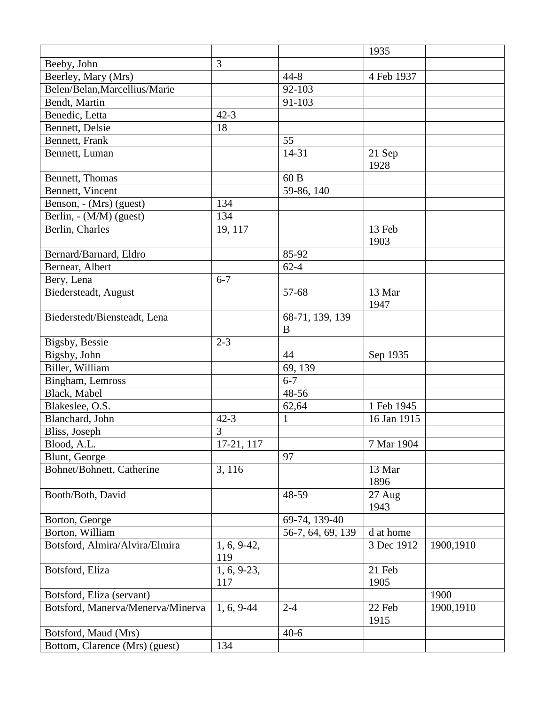|                                   |                          |                   | 1935        |           |
|-----------------------------------|--------------------------|-------------------|-------------|-----------|
| Beeby, John                       | 3                        |                   |             |           |
| Beerley, Mary (Mrs)               |                          | $44 - 8$          | 4 Feb 1937  |           |
| Belen/Belan, Marcellius/Marie     |                          | 92-103            |             |           |
| Bendt, Martin                     |                          | 91-103            |             |           |
| Benedic, Letta                    | $42 - 3$                 |                   |             |           |
| Bennett, Delsie                   | 18                       |                   |             |           |
| Bennett, Frank                    |                          | 55                |             |           |
| Bennett, Luman                    |                          | 14-31             | 21 Sep      |           |
|                                   |                          |                   | 1928        |           |
| Bennett, Thomas                   |                          | 60 B              |             |           |
| Bennett, Vincent                  |                          | 59-86, 140        |             |           |
| Benson, - (Mrs) (guest)           | 134                      |                   |             |           |
| Berlin, - (M/M) (guest)           | 134                      |                   |             |           |
| Berlin, Charles                   | 19, 117                  |                   | 13 Feb      |           |
|                                   |                          |                   | 1903        |           |
| Bernard/Barnard, Eldro            |                          | 85-92             |             |           |
| Bernear, Albert                   |                          | $62 - 4$          |             |           |
| Bery, Lena                        | $6 - 7$                  |                   |             |           |
| Biedersteadt, August              |                          | 57-68             | 13 Mar      |           |
|                                   |                          |                   | 1947        |           |
| Biederstedt/Biensteadt, Lena      |                          | 68-71, 139, 139   |             |           |
|                                   |                          | B                 |             |           |
| Bigsby, Bessie                    | $2 - 3$                  |                   |             |           |
| Bigsby, John                      |                          | 44                | Sep 1935    |           |
| Biller, William                   |                          | 69, 139           |             |           |
| Bingham, Lemross                  |                          | $6 - 7$           |             |           |
| Black, Mabel                      |                          | 48-56             |             |           |
| Blakeslee, O.S.                   |                          | 62,64             | 1 Feb 1945  |           |
| Blanchard, John                   | $42 - 3$                 | $\mathbf{1}$      | 16 Jan 1915 |           |
| Bliss, Joseph                     | 3                        |                   |             |           |
| Blood, A.L.                       | $\overline{17}$ -21, 117 |                   | 7 Mar 1904  |           |
| Blunt, George                     |                          | 97                |             |           |
| Bohnet/Bohnett, Catherine         | 3, 116                   |                   | 13 Mar      |           |
|                                   |                          |                   | 1896        |           |
| Booth/Both, David                 |                          | 48-59             | 27 Aug      |           |
|                                   |                          |                   | 1943        |           |
| Borton, George                    |                          | 69-74, 139-40     |             |           |
| Borton, William                   |                          | 56-7, 64, 69, 139 | d at home   |           |
| Botsford, Almira/Alvira/Elmira    | $1, 6, 9-42,$            |                   | 3 Dec 1912  | 1900,1910 |
|                                   | 119                      |                   |             |           |
| Botsford, Eliza                   | $1, 6, 9-23,$            |                   | 21 Feb      |           |
|                                   | 117                      |                   | 1905        |           |
| Botsford, Eliza (servant)         |                          |                   |             | 1900      |
| Botsford, Manerva/Menerva/Minerva | 1, 6, 9-44               | $2 - 4$           | 22 Feb      | 1900,1910 |
|                                   |                          |                   | 1915        |           |
| Botsford, Maud (Mrs)              |                          | $40-6$            |             |           |
| Bottom, Clarence (Mrs) (guest)    | 134                      |                   |             |           |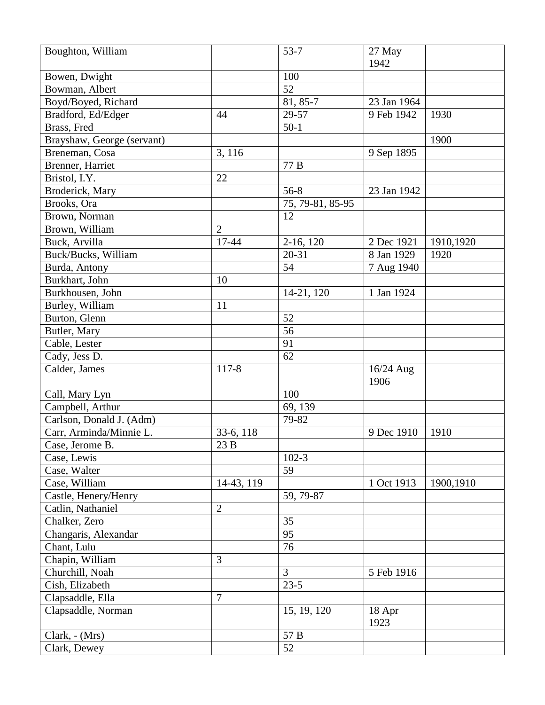| Boughton, William          |                | $53 - 7$         | 27 May      |           |
|----------------------------|----------------|------------------|-------------|-----------|
|                            |                |                  | 1942        |           |
| Bowen, Dwight              |                | 100              |             |           |
| Bowman, Albert             |                | 52               |             |           |
| Boyd/Boyed, Richard        |                | 81, 85-7         | 23 Jan 1964 |           |
| Bradford, Ed/Edger         | 44             | 29-57            | 9 Feb 1942  | 1930      |
| Brass, Fred                |                | $50-1$           |             |           |
| Brayshaw, George (servant) |                |                  |             | 1900      |
| Breneman, Cosa             | 3, 116         |                  | 9 Sep 1895  |           |
| Brenner, Harriet           |                | 77 B             |             |           |
| Bristol, I.Y.              | 22             |                  |             |           |
| Broderick, Mary            |                | $56 - 8$         | 23 Jan 1942 |           |
| Brooks, Ora                |                | 75, 79-81, 85-95 |             |           |
| Brown, Norman              |                | 12               |             |           |
| Brown, William             | $\overline{2}$ |                  |             |           |
| Buck, Arvilla              | 17-44          | $2-16, 120$      | 2 Dec 1921  | 1910,1920 |
| Buck/Bucks, William        |                | $20 - 31$        | 8 Jan 1929  | 1920      |
| Burda, Antony              |                | 54               | 7 Aug 1940  |           |
| Burkhart, John             | 10             |                  |             |           |
| Burkhousen, John           |                | 14-21, 120       | 1 Jan 1924  |           |
| Burley, William            | 11             |                  |             |           |
| Burton, Glenn              |                | 52               |             |           |
| Butler, Mary               |                | 56               |             |           |
| Cable, Lester              |                | 91               |             |           |
| Cady, Jess D.              |                | 62               |             |           |
| Calder, James              | $117 - 8$      |                  | 16/24 Aug   |           |
|                            |                |                  | 1906        |           |
| Call, Mary Lyn             |                | 100              |             |           |
| Campbell, Arthur           |                | 69, 139          |             |           |
| Carlson, Donald J. (Adm)   |                | 79-82            |             |           |
| Carr, Arminda/Minnie L.    | 33-6, 118      |                  | 9 Dec 1910  | 1910      |
| Case, Jerome B.            | $23B$          |                  |             |           |
| Case, Lewis                |                | $102 - 3$        |             |           |
| Case, Walter               |                | 59               |             |           |
| Case, William              | 14-43, 119     |                  | 1 Oct 1913  | 1900,1910 |
| Castle, Henery/Henry       |                | 59, 79-87        |             |           |
| Catlin, Nathaniel          | $\overline{2}$ |                  |             |           |
| Chalker, Zero              |                | 35               |             |           |
| Changaris, Alexandar       |                | 95               |             |           |
| Chant, Lulu                |                | 76               |             |           |
| Chapin, William            | 3              |                  |             |           |
| Churchill, Noah            |                | $\overline{3}$   | 5 Feb 1916  |           |
| Cish, Elizabeth            |                | $23-5$           |             |           |
| Clapsaddle, Ella           | $\overline{7}$ |                  |             |           |
| Clapsaddle, Norman         |                | 15, 19, 120      | 18 Apr      |           |
|                            |                |                  | 1923        |           |
| Clark, - (Mrs)             |                | 57 B             |             |           |
| Clark, Dewey               |                | 52               |             |           |
|                            |                |                  |             |           |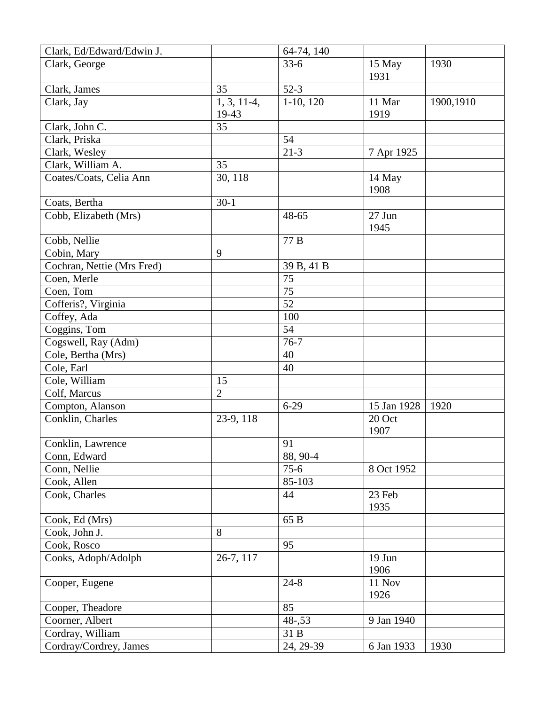| Clark, Ed/Edward/Edwin J.  |                | 64-74, 140  |             |           |
|----------------------------|----------------|-------------|-------------|-----------|
| Clark, George              |                | $33-6$      | 15 May      | 1930      |
|                            |                |             | 1931        |           |
| Clark, James               | 35             | $52-3$      |             |           |
| Clark, Jay                 | $1, 3, 11-4,$  | $1-10, 120$ | 11 Mar      | 1900,1910 |
|                            | 19-43          |             | 1919        |           |
| Clark, John C.             | 35             |             |             |           |
| Clark, Priska              |                | 54          |             |           |
| Clark, Wesley              |                | $21 - 3$    | 7 Apr 1925  |           |
| Clark, William A.          | 35             |             |             |           |
| Coates/Coats, Celia Ann    | 30, 118        |             | 14 May      |           |
|                            |                |             | 1908        |           |
| Coats, Bertha              | $30-1$         |             |             |           |
| Cobb, Elizabeth (Mrs)      |                | 48-65       | 27 Jun      |           |
|                            |                |             | 1945        |           |
| Cobb, Nellie               |                | 77 B        |             |           |
| Cobin, Mary                | 9              |             |             |           |
| Cochran, Nettie (Mrs Fred) |                | 39 B, 41 B  |             |           |
| Coen, Merle                |                | 75          |             |           |
| Coen, Tom                  |                | 75          |             |           |
| Cofferis?, Virginia        |                | 52          |             |           |
| Coffey, Ada                |                | 100         |             |           |
| Coggins, Tom               |                | 54          |             |           |
| Cogswell, Ray (Adm)        |                | $76 - 7$    |             |           |
| Cole, Bertha (Mrs)         |                | 40          |             |           |
| Cole, Earl                 |                | 40          |             |           |
| Cole, William              | 15             |             |             |           |
| Colf, Marcus               | $\overline{2}$ |             |             |           |
| Compton, Alanson           |                | $6-29$      | 15 Jan 1928 | 1920      |
| Conklin, Charles           | 23-9, 118      |             | 20 Oct      |           |
|                            |                |             | 1907        |           |
| Conklin, Lawrence          |                | 91          |             |           |
| Conn, Edward               |                | 88, 90-4    |             |           |
| Conn, Nellie               |                | $75-6$      | 8 Oct 1952  |           |
| Cook, Allen                |                | 85-103      |             |           |
| Cook, Charles              |                | 44          | 23 Feb      |           |
|                            |                |             | 1935        |           |
| Cook, Ed (Mrs)             |                | 65 B        |             |           |
| Cook, John J.              | 8              |             |             |           |
| Cook, Rosco                |                | 95          |             |           |
| Cooks, Adoph/Adolph        | 26-7, 117      |             | 19 Jun      |           |
|                            |                |             | 1906        |           |
| Cooper, Eugene             |                | $24 - 8$    | 11 Nov      |           |
|                            |                |             | 1926        |           |
| Cooper, Theadore           |                | 85          |             |           |
| Coorner, Albert            |                | $48 - 0.53$ | 9 Jan 1940  |           |
| Cordray, William           |                | 31 B        |             |           |
| Cordray/Cordrey, James     |                | 24, 29-39   | 6 Jan 1933  | 1930      |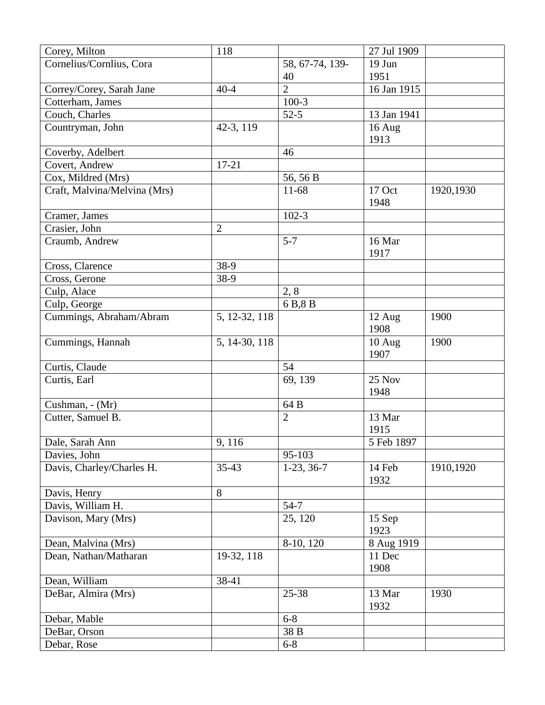| Cornelius/Cornlius, Cora<br>58, 67-74, 139-<br>19 Jun<br>1951<br>40<br>$\overline{2}$<br>16 Jan 1915<br>$40 - 4$<br>Correy/Corey, Sarah Jane<br>$100-3$<br>Cotterham, James<br>$52-5$<br>13 Jan 1941<br>Couch, Charles<br>42-3, 119<br>Countryman, John<br>16 Aug<br>1913<br>Coverby, Adelbert<br>46<br>$17 - 21$<br>Covert, Andrew<br>56, 56 B<br>Cox, Mildred (Mrs)<br>11-68<br>Craft, Malvina/Melvina (Mrs)<br>17 Oct<br>1920,1930<br>1948<br>$102 - 3$<br>Cramer, James<br>Crasier, John<br>$\overline{2}$<br>$5 - 7$<br>16 Mar<br>Craumb, Andrew<br>1917<br>Cross, Clarence<br>38-9<br>38-9<br>Cross, Gerone<br>Culp, Alace<br>2, 8 |
|------------------------------------------------------------------------------------------------------------------------------------------------------------------------------------------------------------------------------------------------------------------------------------------------------------------------------------------------------------------------------------------------------------------------------------------------------------------------------------------------------------------------------------------------------------------------------------------------------------------------------------------|
|                                                                                                                                                                                                                                                                                                                                                                                                                                                                                                                                                                                                                                          |
|                                                                                                                                                                                                                                                                                                                                                                                                                                                                                                                                                                                                                                          |
|                                                                                                                                                                                                                                                                                                                                                                                                                                                                                                                                                                                                                                          |
|                                                                                                                                                                                                                                                                                                                                                                                                                                                                                                                                                                                                                                          |
|                                                                                                                                                                                                                                                                                                                                                                                                                                                                                                                                                                                                                                          |
|                                                                                                                                                                                                                                                                                                                                                                                                                                                                                                                                                                                                                                          |
|                                                                                                                                                                                                                                                                                                                                                                                                                                                                                                                                                                                                                                          |
|                                                                                                                                                                                                                                                                                                                                                                                                                                                                                                                                                                                                                                          |
|                                                                                                                                                                                                                                                                                                                                                                                                                                                                                                                                                                                                                                          |
|                                                                                                                                                                                                                                                                                                                                                                                                                                                                                                                                                                                                                                          |
|                                                                                                                                                                                                                                                                                                                                                                                                                                                                                                                                                                                                                                          |
|                                                                                                                                                                                                                                                                                                                                                                                                                                                                                                                                                                                                                                          |
|                                                                                                                                                                                                                                                                                                                                                                                                                                                                                                                                                                                                                                          |
|                                                                                                                                                                                                                                                                                                                                                                                                                                                                                                                                                                                                                                          |
|                                                                                                                                                                                                                                                                                                                                                                                                                                                                                                                                                                                                                                          |
|                                                                                                                                                                                                                                                                                                                                                                                                                                                                                                                                                                                                                                          |
|                                                                                                                                                                                                                                                                                                                                                                                                                                                                                                                                                                                                                                          |
|                                                                                                                                                                                                                                                                                                                                                                                                                                                                                                                                                                                                                                          |
|                                                                                                                                                                                                                                                                                                                                                                                                                                                                                                                                                                                                                                          |
| 6B,8B<br>Culp, George                                                                                                                                                                                                                                                                                                                                                                                                                                                                                                                                                                                                                    |
| 5, 12-32, 118<br>Cummings, Abraham/Abram<br>1900<br>12 Aug                                                                                                                                                                                                                                                                                                                                                                                                                                                                                                                                                                               |
| 1908                                                                                                                                                                                                                                                                                                                                                                                                                                                                                                                                                                                                                                     |
| Cummings, Hannah<br>10 Aug<br>1900<br>5, 14-30, 118                                                                                                                                                                                                                                                                                                                                                                                                                                                                                                                                                                                      |
| 1907                                                                                                                                                                                                                                                                                                                                                                                                                                                                                                                                                                                                                                     |
| 54<br>Curtis, Claude                                                                                                                                                                                                                                                                                                                                                                                                                                                                                                                                                                                                                     |
| 69, 139<br>25 Nov<br>Curtis, Earl                                                                                                                                                                                                                                                                                                                                                                                                                                                                                                                                                                                                        |
| 1948                                                                                                                                                                                                                                                                                                                                                                                                                                                                                                                                                                                                                                     |
| 64 B<br>Cushman, - (Mr)                                                                                                                                                                                                                                                                                                                                                                                                                                                                                                                                                                                                                  |
| $\overline{2}$<br>13 Mar<br>Cutter, Samuel B.<br>1915                                                                                                                                                                                                                                                                                                                                                                                                                                                                                                                                                                                    |
|                                                                                                                                                                                                                                                                                                                                                                                                                                                                                                                                                                                                                                          |
| 9, 116<br>5 Feb 1897<br>Dale, Sarah Ann<br>95-103                                                                                                                                                                                                                                                                                                                                                                                                                                                                                                                                                                                        |
| Davies, John<br>Davis, Charley/Charles H.<br>1910,1920<br>$35 - 43$<br>$1-23, 36-7$<br>14 Feb                                                                                                                                                                                                                                                                                                                                                                                                                                                                                                                                            |
| 1932                                                                                                                                                                                                                                                                                                                                                                                                                                                                                                                                                                                                                                     |
| 8<br>Davis, Henry                                                                                                                                                                                                                                                                                                                                                                                                                                                                                                                                                                                                                        |
| Davis, William H.<br>$54 - 7$                                                                                                                                                                                                                                                                                                                                                                                                                                                                                                                                                                                                            |
| Davison, Mary (Mrs)<br>25, 120<br>15 Sep                                                                                                                                                                                                                                                                                                                                                                                                                                                                                                                                                                                                 |
| 1923                                                                                                                                                                                                                                                                                                                                                                                                                                                                                                                                                                                                                                     |
| Dean, Malvina (Mrs)<br>8-10, 120<br>8 Aug 1919                                                                                                                                                                                                                                                                                                                                                                                                                                                                                                                                                                                           |
| 19-32, 118<br>Dean, Nathan/Matharan<br>11 Dec                                                                                                                                                                                                                                                                                                                                                                                                                                                                                                                                                                                            |
| 1908                                                                                                                                                                                                                                                                                                                                                                                                                                                                                                                                                                                                                                     |
| Dean, William<br>38-41                                                                                                                                                                                                                                                                                                                                                                                                                                                                                                                                                                                                                   |
| DeBar, Almira (Mrs)<br>25-38<br>13 Mar<br>1930                                                                                                                                                                                                                                                                                                                                                                                                                                                                                                                                                                                           |
| 1932                                                                                                                                                                                                                                                                                                                                                                                                                                                                                                                                                                                                                                     |
| Debar, Mable<br>$6 - 8$                                                                                                                                                                                                                                                                                                                                                                                                                                                                                                                                                                                                                  |
| 38 B<br>DeBar, Orson                                                                                                                                                                                                                                                                                                                                                                                                                                                                                                                                                                                                                     |
| Debar, Rose<br>$6 - 8$                                                                                                                                                                                                                                                                                                                                                                                                                                                                                                                                                                                                                   |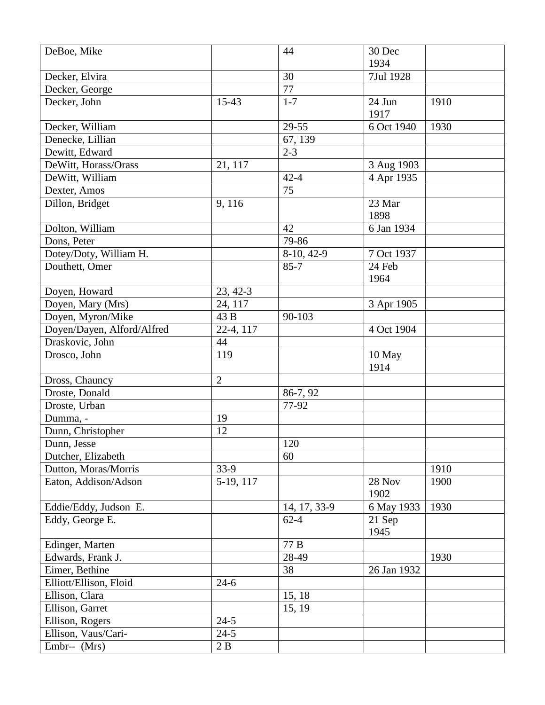| DeBoe, Mike                |                | 44           | 30 Dec      |      |
|----------------------------|----------------|--------------|-------------|------|
|                            |                |              | 1934        |      |
| Decker, Elvira             |                | 30           | 7Jul 1928   |      |
| Decker, George             |                | 77           |             |      |
| Decker, John               | 15-43          | $1 - 7$      | 24 Jun      | 1910 |
|                            |                |              | 1917        |      |
| Decker, William            |                | 29-55        | 6 Oct 1940  | 1930 |
| Denecke, Lillian           |                | 67, 139      |             |      |
| Dewitt, Edward             |                | $2 - 3$      |             |      |
| DeWitt, Horass/Orass       | 21, 117        |              | 3 Aug 1903  |      |
| DeWitt, William            |                | $42 - 4$     | 4 Apr 1935  |      |
| Dexter, Amos               |                | 75           |             |      |
| Dillon, Bridget            | 9,116          |              | 23 Mar      |      |
|                            |                |              | 1898        |      |
| Dolton, William            |                | 42           | 6 Jan 1934  |      |
| Dons, Peter                |                | 79-86        |             |      |
| Dotey/Doty, William H.     |                | 8-10, 42-9   | 7 Oct 1937  |      |
| Douthett, Omer             |                | $85 - 7$     | 24 Feb      |      |
|                            |                |              | 1964        |      |
| Doyen, Howard              | 23, 42-3       |              |             |      |
| Doyen, Mary (Mrs)          | 24, 117        |              | 3 Apr 1905  |      |
| Doyen, Myron/Mike          | 43 B           | 90-103       |             |      |
| Doyen/Dayen, Alford/Alfred | 22-4, 117      |              | 4 Oct 1904  |      |
| Draskovic, John            | 44             |              |             |      |
| Drosco, John               | 119            |              | 10 May      |      |
|                            |                |              | 1914        |      |
| Dross, Chauncy             | $\overline{2}$ |              |             |      |
| Droste, Donald             |                | 86-7, 92     |             |      |
| Droste, Urban              |                | 77-92        |             |      |
| Dumma, -                   | 19             |              |             |      |
| Dunn, Christopher          | 12             |              |             |      |
| Dunn, Jesse                |                | 120          |             |      |
| Dutcher, Elizabeth         |                | 60           |             |      |
| Dutton, Moras/Morris       | $33-9$         |              |             | 1910 |
| Eaton, Addison/Adson       | 5-19, 117      |              | 28 Nov      | 1900 |
|                            |                |              | 1902        |      |
| Eddie/Eddy, Judson E.      |                | 14, 17, 33-9 | 6 May 1933  | 1930 |
| Eddy, George E.            |                | $62 - 4$     | 21 Sep      |      |
|                            |                |              | 1945        |      |
| Edinger, Marten            |                | 77 B         |             |      |
| Edwards, Frank J.          |                | 28-49        |             | 1930 |
| Eimer, Bethine             |                | 38           | 26 Jan 1932 |      |
| Elliott/Ellison, Floid     | $24-6$         |              |             |      |
| Ellison, Clara             |                | 15, 18       |             |      |
| Ellison, Garret            |                | 15, 19       |             |      |
| Ellison, Rogers            | $24 - 5$       |              |             |      |
| Ellison, Vaus/Cari-        |                |              |             |      |
| Embr-- (Mrs)               | $24 - 5$<br>2B |              |             |      |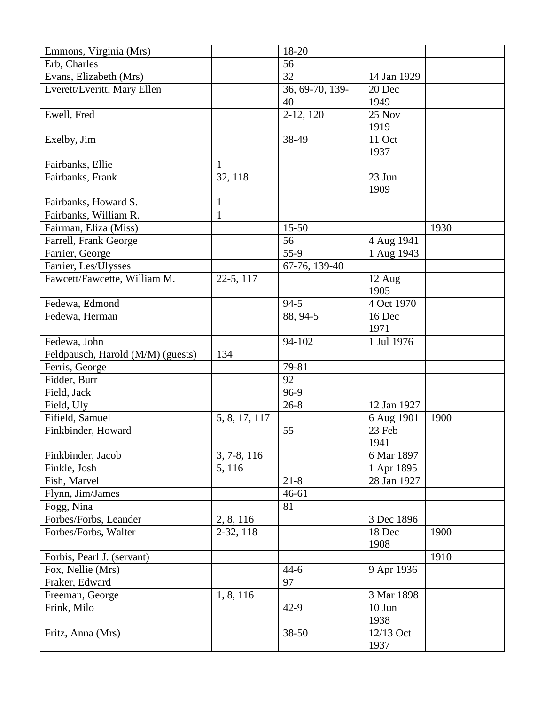| Emmons, Virginia (Mrs)            |               | 18-20           |                |      |
|-----------------------------------|---------------|-----------------|----------------|------|
| Erb, Charles                      |               | 56              |                |      |
| Evans, Elizabeth (Mrs)            |               | 32              | 14 Jan 1929    |      |
| Everett/Everitt, Mary Ellen       |               | 36, 69-70, 139- | 20 Dec         |      |
|                                   |               | 40              | 1949           |      |
| Ewell, Fred                       |               | $2-12, 120$     | 25 Nov         |      |
|                                   |               |                 | 1919           |      |
| Exelby, Jim                       |               | 38-49           | 11 Oct         |      |
|                                   |               |                 | 1937           |      |
| Fairbanks, Ellie                  | 1             |                 |                |      |
| Fairbanks, Frank                  | 32, 118       |                 | 23 Jun         |      |
|                                   |               |                 | 1909           |      |
| Fairbanks, Howard S.              | $\mathbf{1}$  |                 |                |      |
| Fairbanks, William R.             | $\mathbf{1}$  |                 |                |      |
| Fairman, Eliza (Miss)             |               | $15 - 50$       |                | 1930 |
| Farrell, Frank George             |               | 56              | 4 Aug 1941     |      |
| Farrier, George                   |               | $55-9$          | 1 Aug 1943     |      |
| Farrier, Les/Ulysses              |               | 67-76, 139-40   |                |      |
| Fawcett/Fawcette, William M.      | 22-5, 117     |                 | 12 Aug         |      |
|                                   |               |                 | 1905           |      |
| Fedewa, Edmond                    |               | $94 - 5$        | 4 Oct 1970     |      |
| Fedewa, Herman                    |               | 88, 94-5        | 16 Dec         |      |
|                                   |               |                 | 1971           |      |
| Fedewa, John                      |               | 94-102          | 1 Jul 1976     |      |
| Feldpausch, Harold (M/M) (guests) | 134           |                 |                |      |
| Ferris, George                    |               | 79-81           |                |      |
| Fidder, Burr                      |               | 92              |                |      |
| Field, Jack                       |               | 96-9            |                |      |
| Field, Uly                        |               | $26 - 8$        | 12 Jan 1927    |      |
| Fifield, Samuel                   | 5, 8, 17, 117 |                 | 6 Aug 1901     | 1900 |
| Finkbinder, Howard                |               | 55              | 23 Feb         |      |
|                                   |               |                 | 1941           |      |
| Finkbinder, Jacob                 | 3, 7-8, 116   |                 | 6 Mar 1897     |      |
| Finkle, Josh                      | 5, 116        |                 | 1 Apr 1895     |      |
| Fish, Marvel                      |               | $21 - 8$        | 28 Jan 1927    |      |
| Flynn, Jim/James                  |               | $46 - 61$       |                |      |
| Fogg, Nina                        |               | 81              |                |      |
| Forbes/Forbs, Leander             | 2, 8, 116     |                 | 3 Dec 1896     |      |
| Forbes/Forbs, Walter              | 2-32, 118     |                 | 18 Dec         | 1900 |
|                                   |               |                 | 1908           |      |
| Forbis, Pearl J. (servant)        |               |                 |                | 1910 |
| Fox, Nellie (Mrs)                 |               | $44-6$          | 9 Apr 1936     |      |
| Fraker, Edward                    |               | 97              |                |      |
| Freeman, George                   |               |                 | 3 Mar 1898     |      |
|                                   | 1, 8, 116     |                 |                |      |
| Frink, Milo                       |               | $42-9$          | 10 Jun<br>1938 |      |
| Fritz, Anna (Mrs)                 |               | 38-50           | 12/13 Oct      |      |
|                                   |               |                 | 1937           |      |
|                                   |               |                 |                |      |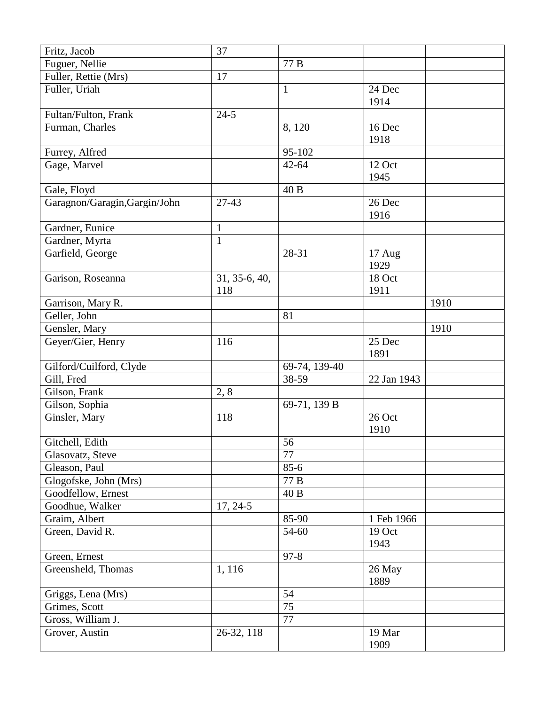| Fritz, Jacob                  | 37            |               |             |      |
|-------------------------------|---------------|---------------|-------------|------|
| Fuguer, Nellie                |               | 77 B          |             |      |
| Fuller, Rettie (Mrs)          | 17            |               |             |      |
| Fuller, Uriah                 |               | $\mathbf{1}$  | 24 Dec      |      |
|                               |               |               | 1914        |      |
| Fultan/Fulton, Frank          | $24 - 5$      |               |             |      |
| Furman, Charles               |               | 8,120         | 16 Dec      |      |
|                               |               |               | 1918        |      |
| Furrey, Alfred                |               | 95-102        |             |      |
| Gage, Marvel                  |               | $42 - 64$     | 12 Oct      |      |
|                               |               |               | 1945        |      |
| Gale, Floyd                   |               | 40 B          |             |      |
| Garagnon/Garagin, Gargin/John | $27 - 43$     |               | 26 Dec      |      |
|                               |               |               | 1916        |      |
| Gardner, Eunice               | $\mathbf{1}$  |               |             |      |
| Gardner, Myrta                | $\mathbf{1}$  |               |             |      |
| Garfield, George              |               | 28-31         | 17 Aug      |      |
|                               |               |               | 1929        |      |
| Garison, Roseanna             | 31, 35-6, 40, |               | 18 Oct      |      |
|                               | 118           |               | 1911        |      |
| Garrison, Mary R.             |               |               |             | 1910 |
| Geller, John                  |               | 81            |             |      |
| Gensler, Mary                 |               |               |             | 1910 |
| Geyer/Gier, Henry             | 116           |               | 25 Dec      |      |
|                               |               |               | 1891        |      |
| Gilford/Cuilford, Clyde       |               | 69-74, 139-40 |             |      |
| Gill, Fred                    |               | 38-59         | 22 Jan 1943 |      |
| Gilson, Frank                 | 2, 8          |               |             |      |
| Gilson, Sophia                |               | 69-71, 139 B  |             |      |
| Ginsler, Mary                 | 118           |               | 26 Oct      |      |
|                               |               |               | 1910        |      |
| Gitchell, Edith               |               | 56            |             |      |
| Glasovatz, Steve              |               | 77            |             |      |
| Gleason, Paul                 |               | $85 - 6$      |             |      |
| Glogofske, John (Mrs)         |               | 77 B          |             |      |
| Goodfellow, Ernest            |               | 40 B          |             |      |
| Goodhue, Walker               | $17, 24-5$    |               |             |      |
| Graim, Albert                 |               | 85-90         | 1 Feb 1966  |      |
| Green, David R.               |               | 54-60         | 19 Oct      |      |
|                               |               |               | 1943        |      |
| Green, Ernest                 |               | $97 - 8$      |             |      |
| Greensheld, Thomas            | 1,116         |               | 26 May      |      |
|                               |               |               | 1889        |      |
| Griggs, Lena (Mrs)            |               | 54            |             |      |
| Grimes, Scott                 |               | 75            |             |      |
| Gross, William J.             |               | 77            |             |      |
| Grover, Austin                | 26-32, 118    |               | 19 Mar      |      |
|                               |               |               | 1909        |      |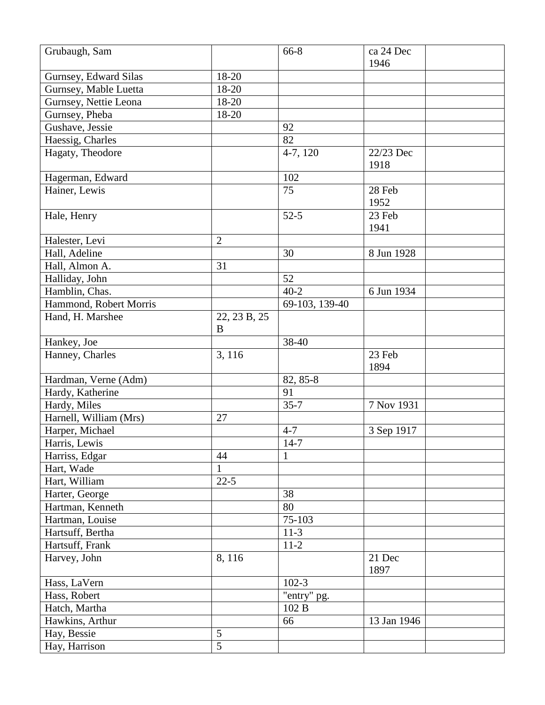| 1946<br>18-20<br>Gurnsey, Edward Silas<br>Gurnsey, Mable Luetta<br>18-20<br>Gurnsey, Nettie Leona<br>18-20<br>Gurnsey, Pheba<br>18-20<br>Gushave, Jessie<br>92<br>82<br>Haessig, Charles<br>Hagaty, Theodore<br>4-7, 120<br>22/23 Dec<br>1918<br>102<br>Hagerman, Edward<br>Hainer, Lewis<br>75<br>28 Feb<br>1952<br>$52-5$<br>23 Feb<br>Hale, Henry<br>1941<br>Halester, Levi<br>$\overline{2}$<br>30<br>Hall, Adeline<br>8 Jun 1928<br>31<br>Hall, Almon A.<br>Halliday, John<br>52<br>$40 - 2$<br>Hamblin, Chas.<br>6 Jun 1934<br>Hammond, Robert Morris<br>69-103, 139-40<br>22, 23 B, 25<br>Hand, H. Marshee<br>B<br>Hankey, Joe<br>38-40<br>3, 116<br>23 Feb<br>Hanney, Charles<br>1894<br>82, 85-8<br>Hardman, Verne (Adm)<br>91<br>Hardy, Katherine<br>$35 - 7$<br>7 Nov 1931<br>Hardy, Miles<br>Harnell, William (Mrs)<br>27<br>Harper, Michael<br>$4 - 7$<br>3 Sep 1917<br>$14-7$<br>Harris, Lewis<br>44<br>Harriss, Edgar<br>Hart, Wade<br>1<br>$22 - 5$<br>Hart, William<br>38<br>Harter, George<br>Hartman, Kenneth<br>80<br>75-103<br>Hartman, Louise<br>Hartsuff, Bertha<br>$11-3$<br>Hartsuff, Frank<br>$11-2$<br>Harvey, John<br>8,116<br>21 Dec<br>1897<br>Hass, LaVern<br>$102-3$<br>"entry" pg.<br>Hass, Robert<br>Hatch, Martha<br>102 B<br>Hawkins, Arthur<br>66<br>13 Jan 1946<br>5<br>Hay, Bessie<br>$\overline{5}$<br>Hay, Harrison | Grubaugh, Sam | 66-8 | ca 24 Dec |
|--------------------------------------------------------------------------------------------------------------------------------------------------------------------------------------------------------------------------------------------------------------------------------------------------------------------------------------------------------------------------------------------------------------------------------------------------------------------------------------------------------------------------------------------------------------------------------------------------------------------------------------------------------------------------------------------------------------------------------------------------------------------------------------------------------------------------------------------------------------------------------------------------------------------------------------------------------------------------------------------------------------------------------------------------------------------------------------------------------------------------------------------------------------------------------------------------------------------------------------------------------------------------------------------------------------------------------------------------------------|---------------|------|-----------|
|                                                                                                                                                                                                                                                                                                                                                                                                                                                                                                                                                                                                                                                                                                                                                                                                                                                                                                                                                                                                                                                                                                                                                                                                                                                                                                                                                              |               |      |           |
|                                                                                                                                                                                                                                                                                                                                                                                                                                                                                                                                                                                                                                                                                                                                                                                                                                                                                                                                                                                                                                                                                                                                                                                                                                                                                                                                                              |               |      |           |
|                                                                                                                                                                                                                                                                                                                                                                                                                                                                                                                                                                                                                                                                                                                                                                                                                                                                                                                                                                                                                                                                                                                                                                                                                                                                                                                                                              |               |      |           |
|                                                                                                                                                                                                                                                                                                                                                                                                                                                                                                                                                                                                                                                                                                                                                                                                                                                                                                                                                                                                                                                                                                                                                                                                                                                                                                                                                              |               |      |           |
|                                                                                                                                                                                                                                                                                                                                                                                                                                                                                                                                                                                                                                                                                                                                                                                                                                                                                                                                                                                                                                                                                                                                                                                                                                                                                                                                                              |               |      |           |
|                                                                                                                                                                                                                                                                                                                                                                                                                                                                                                                                                                                                                                                                                                                                                                                                                                                                                                                                                                                                                                                                                                                                                                                                                                                                                                                                                              |               |      |           |
|                                                                                                                                                                                                                                                                                                                                                                                                                                                                                                                                                                                                                                                                                                                                                                                                                                                                                                                                                                                                                                                                                                                                                                                                                                                                                                                                                              |               |      |           |
|                                                                                                                                                                                                                                                                                                                                                                                                                                                                                                                                                                                                                                                                                                                                                                                                                                                                                                                                                                                                                                                                                                                                                                                                                                                                                                                                                              |               |      |           |
|                                                                                                                                                                                                                                                                                                                                                                                                                                                                                                                                                                                                                                                                                                                                                                                                                                                                                                                                                                                                                                                                                                                                                                                                                                                                                                                                                              |               |      |           |
|                                                                                                                                                                                                                                                                                                                                                                                                                                                                                                                                                                                                                                                                                                                                                                                                                                                                                                                                                                                                                                                                                                                                                                                                                                                                                                                                                              |               |      |           |
|                                                                                                                                                                                                                                                                                                                                                                                                                                                                                                                                                                                                                                                                                                                                                                                                                                                                                                                                                                                                                                                                                                                                                                                                                                                                                                                                                              |               |      |           |
|                                                                                                                                                                                                                                                                                                                                                                                                                                                                                                                                                                                                                                                                                                                                                                                                                                                                                                                                                                                                                                                                                                                                                                                                                                                                                                                                                              |               |      |           |
|                                                                                                                                                                                                                                                                                                                                                                                                                                                                                                                                                                                                                                                                                                                                                                                                                                                                                                                                                                                                                                                                                                                                                                                                                                                                                                                                                              |               |      |           |
|                                                                                                                                                                                                                                                                                                                                                                                                                                                                                                                                                                                                                                                                                                                                                                                                                                                                                                                                                                                                                                                                                                                                                                                                                                                                                                                                                              |               |      |           |
|                                                                                                                                                                                                                                                                                                                                                                                                                                                                                                                                                                                                                                                                                                                                                                                                                                                                                                                                                                                                                                                                                                                                                                                                                                                                                                                                                              |               |      |           |
|                                                                                                                                                                                                                                                                                                                                                                                                                                                                                                                                                                                                                                                                                                                                                                                                                                                                                                                                                                                                                                                                                                                                                                                                                                                                                                                                                              |               |      |           |
|                                                                                                                                                                                                                                                                                                                                                                                                                                                                                                                                                                                                                                                                                                                                                                                                                                                                                                                                                                                                                                                                                                                                                                                                                                                                                                                                                              |               |      |           |
|                                                                                                                                                                                                                                                                                                                                                                                                                                                                                                                                                                                                                                                                                                                                                                                                                                                                                                                                                                                                                                                                                                                                                                                                                                                                                                                                                              |               |      |           |
|                                                                                                                                                                                                                                                                                                                                                                                                                                                                                                                                                                                                                                                                                                                                                                                                                                                                                                                                                                                                                                                                                                                                                                                                                                                                                                                                                              |               |      |           |
|                                                                                                                                                                                                                                                                                                                                                                                                                                                                                                                                                                                                                                                                                                                                                                                                                                                                                                                                                                                                                                                                                                                                                                                                                                                                                                                                                              |               |      |           |
|                                                                                                                                                                                                                                                                                                                                                                                                                                                                                                                                                                                                                                                                                                                                                                                                                                                                                                                                                                                                                                                                                                                                                                                                                                                                                                                                                              |               |      |           |
|                                                                                                                                                                                                                                                                                                                                                                                                                                                                                                                                                                                                                                                                                                                                                                                                                                                                                                                                                                                                                                                                                                                                                                                                                                                                                                                                                              |               |      |           |
|                                                                                                                                                                                                                                                                                                                                                                                                                                                                                                                                                                                                                                                                                                                                                                                                                                                                                                                                                                                                                                                                                                                                                                                                                                                                                                                                                              |               |      |           |
|                                                                                                                                                                                                                                                                                                                                                                                                                                                                                                                                                                                                                                                                                                                                                                                                                                                                                                                                                                                                                                                                                                                                                                                                                                                                                                                                                              |               |      |           |
|                                                                                                                                                                                                                                                                                                                                                                                                                                                                                                                                                                                                                                                                                                                                                                                                                                                                                                                                                                                                                                                                                                                                                                                                                                                                                                                                                              |               |      |           |
|                                                                                                                                                                                                                                                                                                                                                                                                                                                                                                                                                                                                                                                                                                                                                                                                                                                                                                                                                                                                                                                                                                                                                                                                                                                                                                                                                              |               |      |           |
|                                                                                                                                                                                                                                                                                                                                                                                                                                                                                                                                                                                                                                                                                                                                                                                                                                                                                                                                                                                                                                                                                                                                                                                                                                                                                                                                                              |               |      |           |
|                                                                                                                                                                                                                                                                                                                                                                                                                                                                                                                                                                                                                                                                                                                                                                                                                                                                                                                                                                                                                                                                                                                                                                                                                                                                                                                                                              |               |      |           |
|                                                                                                                                                                                                                                                                                                                                                                                                                                                                                                                                                                                                                                                                                                                                                                                                                                                                                                                                                                                                                                                                                                                                                                                                                                                                                                                                                              |               |      |           |
|                                                                                                                                                                                                                                                                                                                                                                                                                                                                                                                                                                                                                                                                                                                                                                                                                                                                                                                                                                                                                                                                                                                                                                                                                                                                                                                                                              |               |      |           |
|                                                                                                                                                                                                                                                                                                                                                                                                                                                                                                                                                                                                                                                                                                                                                                                                                                                                                                                                                                                                                                                                                                                                                                                                                                                                                                                                                              |               |      |           |
|                                                                                                                                                                                                                                                                                                                                                                                                                                                                                                                                                                                                                                                                                                                                                                                                                                                                                                                                                                                                                                                                                                                                                                                                                                                                                                                                                              |               |      |           |
|                                                                                                                                                                                                                                                                                                                                                                                                                                                                                                                                                                                                                                                                                                                                                                                                                                                                                                                                                                                                                                                                                                                                                                                                                                                                                                                                                              |               |      |           |
|                                                                                                                                                                                                                                                                                                                                                                                                                                                                                                                                                                                                                                                                                                                                                                                                                                                                                                                                                                                                                                                                                                                                                                                                                                                                                                                                                              |               |      |           |
|                                                                                                                                                                                                                                                                                                                                                                                                                                                                                                                                                                                                                                                                                                                                                                                                                                                                                                                                                                                                                                                                                                                                                                                                                                                                                                                                                              |               |      |           |
|                                                                                                                                                                                                                                                                                                                                                                                                                                                                                                                                                                                                                                                                                                                                                                                                                                                                                                                                                                                                                                                                                                                                                                                                                                                                                                                                                              |               |      |           |
|                                                                                                                                                                                                                                                                                                                                                                                                                                                                                                                                                                                                                                                                                                                                                                                                                                                                                                                                                                                                                                                                                                                                                                                                                                                                                                                                                              |               |      |           |
|                                                                                                                                                                                                                                                                                                                                                                                                                                                                                                                                                                                                                                                                                                                                                                                                                                                                                                                                                                                                                                                                                                                                                                                                                                                                                                                                                              |               |      |           |
|                                                                                                                                                                                                                                                                                                                                                                                                                                                                                                                                                                                                                                                                                                                                                                                                                                                                                                                                                                                                                                                                                                                                                                                                                                                                                                                                                              |               |      |           |
|                                                                                                                                                                                                                                                                                                                                                                                                                                                                                                                                                                                                                                                                                                                                                                                                                                                                                                                                                                                                                                                                                                                                                                                                                                                                                                                                                              |               |      |           |
|                                                                                                                                                                                                                                                                                                                                                                                                                                                                                                                                                                                                                                                                                                                                                                                                                                                                                                                                                                                                                                                                                                                                                                                                                                                                                                                                                              |               |      |           |
|                                                                                                                                                                                                                                                                                                                                                                                                                                                                                                                                                                                                                                                                                                                                                                                                                                                                                                                                                                                                                                                                                                                                                                                                                                                                                                                                                              |               |      |           |
|                                                                                                                                                                                                                                                                                                                                                                                                                                                                                                                                                                                                                                                                                                                                                                                                                                                                                                                                                                                                                                                                                                                                                                                                                                                                                                                                                              |               |      |           |
|                                                                                                                                                                                                                                                                                                                                                                                                                                                                                                                                                                                                                                                                                                                                                                                                                                                                                                                                                                                                                                                                                                                                                                                                                                                                                                                                                              |               |      |           |
|                                                                                                                                                                                                                                                                                                                                                                                                                                                                                                                                                                                                                                                                                                                                                                                                                                                                                                                                                                                                                                                                                                                                                                                                                                                                                                                                                              |               |      |           |
|                                                                                                                                                                                                                                                                                                                                                                                                                                                                                                                                                                                                                                                                                                                                                                                                                                                                                                                                                                                                                                                                                                                                                                                                                                                                                                                                                              |               |      |           |
|                                                                                                                                                                                                                                                                                                                                                                                                                                                                                                                                                                                                                                                                                                                                                                                                                                                                                                                                                                                                                                                                                                                                                                                                                                                                                                                                                              |               |      |           |
|                                                                                                                                                                                                                                                                                                                                                                                                                                                                                                                                                                                                                                                                                                                                                                                                                                                                                                                                                                                                                                                                                                                                                                                                                                                                                                                                                              |               |      |           |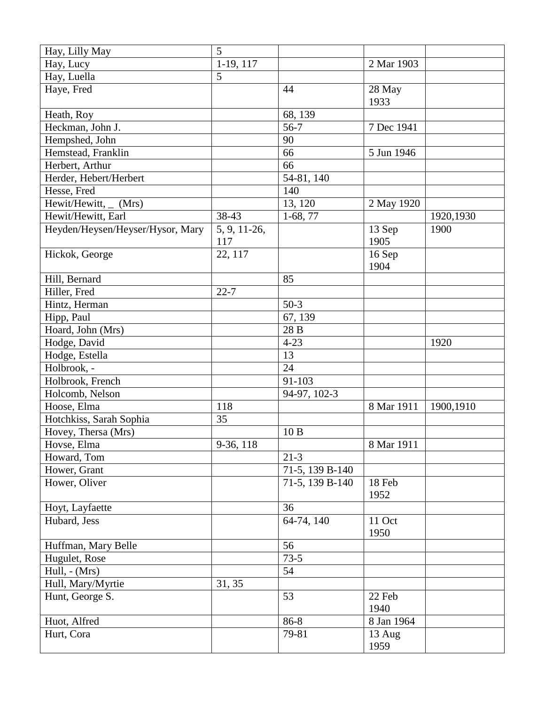| Hay, Lilly May                   | 5                       |                 |            |           |
|----------------------------------|-------------------------|-----------------|------------|-----------|
| Hay, Lucy                        | 1-19, 117               |                 | 2 Mar 1903 |           |
| Hay, Luella                      | 5                       |                 |            |           |
| Haye, Fred                       |                         | 44              | 28 May     |           |
|                                  |                         |                 | 1933       |           |
| Heath, Roy                       |                         | 68, 139         |            |           |
| Heckman, John J.                 |                         | $56-7$          | 7 Dec 1941 |           |
| Hempshed, John                   |                         | 90              |            |           |
| Hemstead, Franklin               |                         | 66              | 5 Jun 1946 |           |
| Herbert, Arthur                  |                         | 66              |            |           |
| Herder, Hebert/Herbert           |                         | 54-81, 140      |            |           |
| Hesse, Fred                      |                         | 140             |            |           |
| Hewit/Hewitt,_<br>(Mrs)          |                         | 13, 120         | 2 May 1920 |           |
| Hewit/Hewitt, Earl               | 38-43                   | $1-68, 77$      |            | 1920,1930 |
| Heyden/Heysen/Heyser/Hysor, Mary | 5, 9, 11-26,            |                 | 13 Sep     | 1900      |
|                                  | 117                     |                 | 1905       |           |
| Hickok, George                   | 22, 117                 |                 | 16 Sep     |           |
|                                  |                         |                 | 1904       |           |
| Hill, Bernard                    |                         | 85              |            |           |
| Hiller, Fred                     | $22 - 7$                |                 |            |           |
| Hintz, Herman                    |                         | $50-3$          |            |           |
| Hipp, Paul                       |                         | 67, 139         |            |           |
| Hoard, John (Mrs)                |                         | 28 B            |            |           |
| Hodge, David                     |                         | $4 - 23$        |            | 1920      |
| Hodge, Estella                   |                         | 13              |            |           |
| Holbrook, -                      |                         | 24              |            |           |
| Holbrook, French                 |                         | 91-103          |            |           |
| Holcomb, Nelson                  |                         | 94-97, 102-3    |            |           |
| Hoose, Elma                      | 118                     |                 | 8 Mar 1911 | 1900,1910 |
| Hotchkiss, Sarah Sophia          | 35                      |                 |            |           |
| Hovey, Thersa (Mrs)              |                         | 10B             |            |           |
| Hovse, Elma                      | $\overline{9}$ -36, 118 |                 | 8 Mar 1911 |           |
| Howard, Tom                      |                         | $21 - 3$        |            |           |
| Hower, Grant                     |                         | 71-5, 139 B-140 |            |           |
| Hower, Oliver                    |                         | 71-5, 139 B-140 | 18 Feb     |           |
|                                  |                         |                 | 1952       |           |
| Hoyt, Layfaette                  |                         | 36              |            |           |
| Hubard, Jess                     |                         | 64-74, 140      | 11 Oct     |           |
|                                  |                         |                 | 1950       |           |
| Huffman, Mary Belle              |                         | 56              |            |           |
| Hugulet, Rose                    |                         | $73 - 5$        |            |           |
| Hull, $-$ (Mrs)                  |                         | 54              |            |           |
| Hull, Mary/Myrtie                | 31, 35                  |                 |            |           |
| Hunt, George S.                  |                         | 53              | 22 Feb     |           |
|                                  |                         |                 | 1940       |           |
| Huot, Alfred                     |                         | 86-8            | 8 Jan 1964 |           |
| Hurt, Cora                       |                         | 79-81           | 13 Aug     |           |
|                                  |                         |                 | 1959       |           |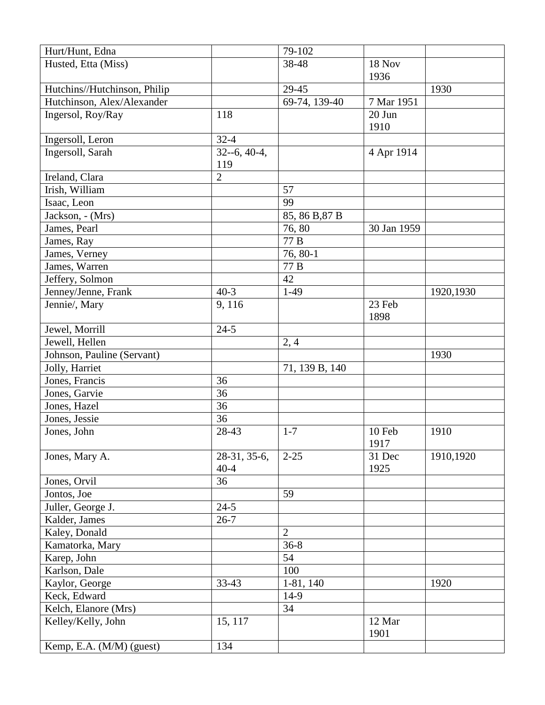| Hurt/Hunt, Edna              |                   | 79-102         |               |           |
|------------------------------|-------------------|----------------|---------------|-----------|
| Husted, Etta (Miss)          |                   | 38-48          | <b>18 Nov</b> |           |
|                              |                   |                | 1936          |           |
| Hutchins//Hutchinson, Philip |                   | 29-45          |               | 1930      |
| Hutchinson, Alex/Alexander   |                   | 69-74, 139-40  | 7 Mar 1951    |           |
| Ingersol, Roy/Ray            | 118               |                | 20 Jun        |           |
|                              |                   |                | 1910          |           |
| Ingersoll, Leron             | $32 - 4$          |                |               |           |
| Ingersoll, Sarah             | $32 - 6, 40 - 4,$ |                | 4 Apr 1914    |           |
|                              | 119               |                |               |           |
| Ireland, Clara               | $\overline{2}$    |                |               |           |
| Irish, William               |                   | 57             |               |           |
| Isaac, Leon                  |                   | 99             |               |           |
| Jackson, - (Mrs)             |                   | 85, 86 B, 87 B |               |           |
| James, Pearl                 |                   | 76,80          | 30 Jan 1959   |           |
| James, Ray                   |                   | 77 B           |               |           |
| James, Verney                |                   | 76, 80-1       |               |           |
| James, Warren                |                   | 77 B           |               |           |
| Jeffery, Solmon              |                   | 42             |               |           |
| Jenney/Jenne, Frank          | $40-3$            | $1-49$         |               | 1920,1930 |
| Jennie/, Mary                | 9,116             |                | 23 Feb        |           |
|                              |                   |                | 1898          |           |
| Jewel, Morrill               | $24 - 5$          |                |               |           |
| Jewell, Hellen               |                   | 2,4            |               |           |
| Johnson, Pauline (Servant)   |                   |                |               | 1930      |
| Jolly, Harriet               |                   | 71, 139 B, 140 |               |           |
| Jones, Francis               | 36                |                |               |           |
| Jones, Garvie                | 36                |                |               |           |
| Jones, Hazel                 | 36                |                |               |           |
| Jones, Jessie                | 36                |                |               |           |
| Jones, John                  | 28-43             | $1 - 7$        | 10 Feb        | 1910      |
|                              |                   |                | 1917          |           |
| Jones, Mary A.               | 28-31, 35-6,      | $2 - 25$       | 31 Dec        | 1910,1920 |
|                              | $40 - 4$          |                | 1925          |           |
| Jones, Orvil                 | 36                |                |               |           |
| Jontos, Joe                  |                   | 59             |               |           |
| Juller, George J.            | $24 - 5$          |                |               |           |
| Kalder, James                | $26 - 7$          |                |               |           |
| Kaley, Donald                |                   | $\overline{2}$ |               |           |
| Kamatorka, Mary              |                   | $36 - 8$       |               |           |
| Karep, John                  |                   | 54             |               |           |
| Karlson, Dale                |                   | 100            |               |           |
| Kaylor, George               | 33-43             | $1-81, 140$    |               | 1920      |
| Keck, Edward                 |                   | $14-9$         |               |           |
| Kelch, Elanore (Mrs)         |                   | 34             |               |           |
| Kelley/Kelly, John           | 15, 117           |                | 12 Mar        |           |
|                              |                   |                | 1901          |           |
| Kemp, E.A. (M/M) (guest)     | 134               |                |               |           |
|                              |                   |                |               |           |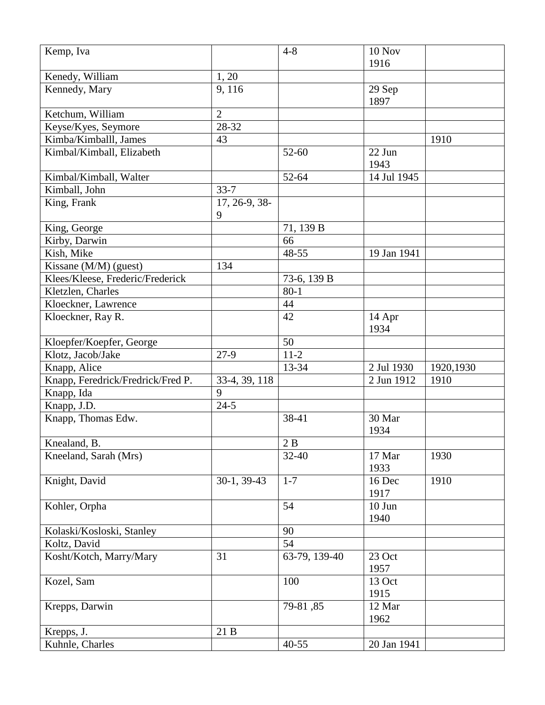| Kemp, Iva                         |                | $4 - 8$       | 10 Nov      |           |
|-----------------------------------|----------------|---------------|-------------|-----------|
|                                   |                |               | 1916        |           |
| Kenedy, William                   | 1, 20          |               |             |           |
| Kennedy, Mary                     | 9,116          |               | 29 Sep      |           |
|                                   |                |               | 1897        |           |
| Ketchum, William                  | $\overline{2}$ |               |             |           |
| Keyse/Kyes, Seymore               | 28-32          |               |             |           |
| Kimba/Kimballl, James             | 43             |               |             | 1910      |
| Kimbal/Kimball, Elizabeth         |                | $52 - 60$     | 22 Jun      |           |
|                                   |                |               | 1943        |           |
| Kimbal/Kimball, Walter            |                | 52-64         | 14 Jul 1945 |           |
| Kimball, John                     | $33 - 7$       |               |             |           |
| King, Frank                       | 17, 26-9, 38-  |               |             |           |
|                                   | 9              |               |             |           |
| King, George                      |                | 71, 139 B     |             |           |
| Kirby, Darwin                     |                | 66            |             |           |
| Kish, Mike                        |                | 48-55         | 19 Jan 1941 |           |
| Kissane (M/M) (guest)             | 134            |               |             |           |
| Klees/Kleese, Frederic/Frederick  |                | 73-6, 139 B   |             |           |
| Kletzlen, Charles                 |                | $80 - 1$      |             |           |
| Kloeckner, Lawrence               |                | 44            |             |           |
| Kloeckner, Ray R.                 |                | 42            | 14 Apr      |           |
|                                   |                |               | 1934        |           |
| Kloepfer/Koepfer, George          |                | 50            |             |           |
| Klotz, Jacob/Jake                 | $27-9$         | $11-2$        |             |           |
| Knapp, Alice                      |                | 13-34         | 2 Jul 1930  | 1920,1930 |
| Knapp, Feredrick/Fredrick/Fred P. | 33-4, 39, 118  |               | 2 Jun 1912  | 1910      |
| Knapp, Ida                        | 9              |               |             |           |
| Knapp, J.D.                       | $24 - 5$       |               |             |           |
| Knapp, Thomas Edw.                |                | 38-41         | 30 Mar      |           |
|                                   |                |               | 1934        |           |
| Knealand, B.                      |                | 2B            |             |           |
| Kneeland, Sarah (Mrs)             |                | $32 - 40$     | 17 Mar      | 1930      |
|                                   |                |               | 1933        |           |
| Knight, David                     | $30-1, 39-43$  | $1 - 7$       | 16 Dec      | 1910      |
|                                   |                |               | 1917        |           |
| Kohler, Orpha                     |                | 54            | $10$ Jun    |           |
|                                   |                |               | 1940        |           |
| Kolaski/Kosloski, Stanley         |                | 90            |             |           |
| Koltz, David                      |                | 54            |             |           |
| Kosht/Kotch, Marry/Mary           | 31             | 63-79, 139-40 | 23 Oct      |           |
|                                   |                |               | 1957        |           |
| Kozel, Sam                        |                | 100           | 13 Oct      |           |
|                                   |                |               | 1915        |           |
| Krepps, Darwin                    |                | 79-81, 85     | 12 Mar      |           |
|                                   |                |               | 1962        |           |
| Krepps, J.                        | 21 B           |               |             |           |
| Kuhnle, Charles                   |                | $40 - 55$     | 20 Jan 1941 |           |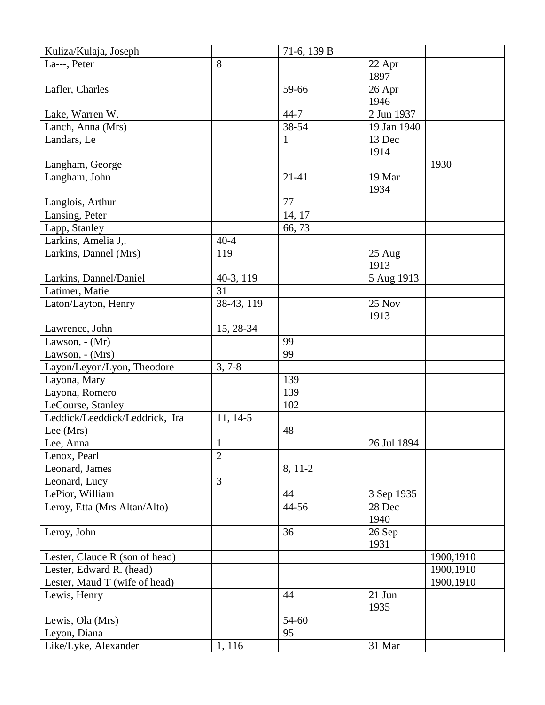| Kuliza/Kulaja, Joseph          |                | 71-6, 139 B  |             |           |
|--------------------------------|----------------|--------------|-------------|-----------|
| La---, Peter                   | 8              |              | 22 Apr      |           |
|                                |                |              | 1897        |           |
| Lafler, Charles                |                | 59-66        | 26 Apr      |           |
|                                |                |              | 1946        |           |
| Lake, Warren W.                |                | $44 - 7$     | 2 Jun 1937  |           |
| Lanch, Anna (Mrs)              |                | 38-54        | 19 Jan 1940 |           |
| Landars, Le                    |                | $\mathbf{1}$ | 13 Dec      |           |
|                                |                |              | 1914        |           |
| Langham, George                |                |              |             | 1930      |
| Langham, John                  |                | 21-41        | 19 Mar      |           |
|                                |                |              | 1934        |           |
| Langlois, Arthur               |                | 77           |             |           |
| Lansing, Peter                 |                | 14, 17       |             |           |
| Lapp, Stanley                  |                | 66,73        |             |           |
| Larkins, Amelia J,.            | $40 - 4$       |              |             |           |
| Larkins, Dannel (Mrs)          | 119            |              | 25 Aug      |           |
|                                |                |              | 1913        |           |
| Larkins, Dannel/Daniel         | 40-3, 119      |              | 5 Aug 1913  |           |
| Latimer, Matie                 | 31             |              |             |           |
| Laton/Layton, Henry            | 38-43, 119     |              | 25 Nov      |           |
|                                |                |              | 1913        |           |
| Lawrence, John                 | 15, 28-34      |              |             |           |
| Lawson, $- (Mr)$               |                | 99           |             |           |
| Lawson, - (Mrs)                |                | 99           |             |           |
| Layon/Leyon/Lyon, Theodore     | $3, 7 - 8$     |              |             |           |
| Layona, Mary                   |                | 139          |             |           |
| Layona, Romero                 |                | 139          |             |           |
| LeCourse, Stanley              |                | 102          |             |           |
| Leddick/Leeddick/Leddrick, Ira | $11, 14-5$     |              |             |           |
| Lee (Mrs)                      |                | 48           |             |           |
| Lee, Anna                      | $\mathbf{1}$   |              | 26 Jul 1894 |           |
| Lenox, Pearl                   | $\overline{2}$ |              |             |           |
| Leonard, James                 |                | 8, 11-2      |             |           |
| Leonard, Lucy                  | 3              |              |             |           |
| LePior, William                |                | 44           | 3 Sep 1935  |           |
| Leroy, Etta (Mrs Altan/Alto)   |                | 44-56        | 28 Dec      |           |
|                                |                |              | 1940        |           |
| Leroy, John                    |                | 36           | 26 Sep      |           |
|                                |                |              | 1931        |           |
| Lester, Claude R (son of head) |                |              |             | 1900,1910 |
| Lester, Edward R. (head)       |                |              |             | 1900,1910 |
| Lester, Maud T (wife of head)  |                |              |             | 1900,1910 |
| Lewis, Henry                   |                | 44           | $21$ Jun    |           |
|                                |                |              | 1935        |           |
| Lewis, Ola (Mrs)               |                | 54-60        |             |           |
|                                |                | 95           |             |           |
| Leyon, Diana                   |                |              |             |           |
| Like/Lyke, Alexander           | 1, 116         |              | 31 Mar      |           |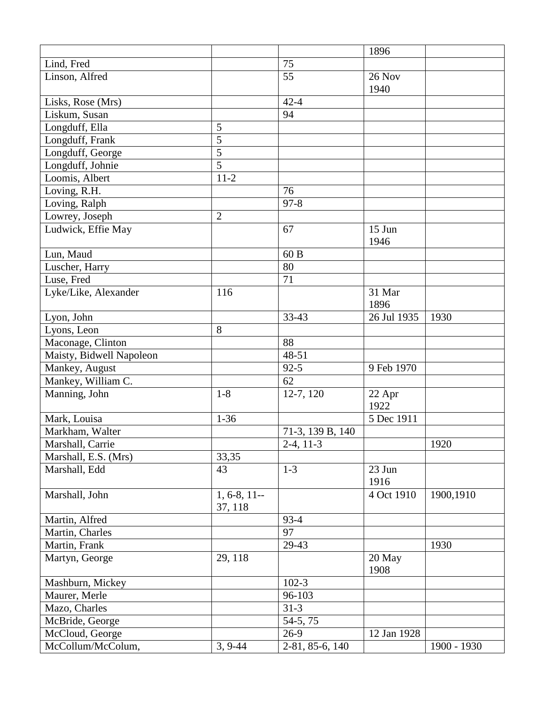|                          |                |                  | 1896        |             |
|--------------------------|----------------|------------------|-------------|-------------|
| Lind, Fred               |                | 75               |             |             |
| Linson, Alfred           |                | 55               | 26 Nov      |             |
|                          |                |                  | 1940        |             |
| Lisks, Rose (Mrs)        |                | $42 - 4$         |             |             |
| Liskum, Susan            |                | 94               |             |             |
| Longduff, Ella           | 5              |                  |             |             |
| Longduff, Frank          | 5              |                  |             |             |
| Longduff, George         | $\overline{5}$ |                  |             |             |
| Longduff, Johnie         | $\overline{5}$ |                  |             |             |
| Loomis, Albert           | $11-2$         |                  |             |             |
| Loving, R.H.             |                | 76               |             |             |
| Loving, Ralph            |                | $97 - 8$         |             |             |
| Lowrey, Joseph           | $\overline{2}$ |                  |             |             |
| Ludwick, Effie May       |                | 67               | 15 Jun      |             |
|                          |                |                  | 1946        |             |
| Lun, Maud                |                | 60 B             |             |             |
| Luscher, Harry           |                | 80               |             |             |
| Luse, Fred               |                | 71               |             |             |
| Lyke/Like, Alexander     | 116            |                  | 31 Mar      |             |
|                          |                |                  | 1896        |             |
| Lyon, John               |                | 33-43            | 26 Jul 1935 | 1930        |
| Lyons, Leon              | 8              |                  |             |             |
| Maconage, Clinton        |                | 88               |             |             |
| Maisty, Bidwell Napoleon |                | 48-51            |             |             |
| Mankey, August           |                | $92 - 5$         | 9 Feb 1970  |             |
| Mankey, William C.       |                | 62               |             |             |
| Manning, John            | $1-8$          | 12-7, 120        | 22 Apr      |             |
|                          |                |                  | 1922        |             |
| Mark, Louisa             | $1 - 36$       |                  | 5 Dec 1911  |             |
| Markham, Walter          |                | 71-3, 139 B, 140 |             |             |
| Marshall, Carrie         |                | $2-4, 11-3$      |             | 1920        |
| Marshall, E.S. (Mrs)     | 33,35          |                  |             |             |
| Marshall, Edd            | 43             | $1 - 3$          | 23 Jun      |             |
|                          |                |                  | 1916        |             |
| Marshall, John           | $1, 6-8, 11-$  |                  | 4 Oct 1910  | 1900,1910   |
|                          | 37, 118        |                  |             |             |
| Martin, Alfred           |                | $93 - 4$         |             |             |
| Martin, Charles          |                | 97               |             |             |
| Martin, Frank            |                | 29-43            |             | 1930        |
| Martyn, George           | 29, 118        |                  | 20 May      |             |
|                          |                |                  | 1908        |             |
| Mashburn, Mickey         |                | $102 - 3$        |             |             |
| Maurer, Merle            |                | 96-103           |             |             |
| Mazo, Charles            |                | $31 - 3$         |             |             |
| McBride, George          |                | 54-5, 75         |             |             |
| McCloud, George          |                | $26-9$           | 12 Jan 1928 |             |
| McCollum/McColum,        | $3, 9-44$      | 2-81, 85-6, 140  |             | 1900 - 1930 |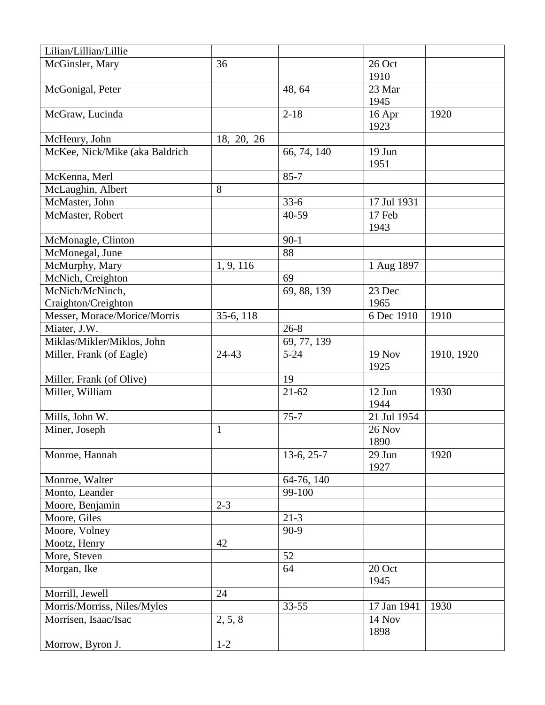| Lilian/Lillian/Lillie          |              |              |               |            |
|--------------------------------|--------------|--------------|---------------|------------|
| McGinsler, Mary                | 36           |              | 26 Oct        |            |
|                                |              |              | 1910          |            |
| McGonigal, Peter               |              | 48, 64       | 23 Mar        |            |
|                                |              |              | 1945          |            |
| McGraw, Lucinda                |              | $2 - 18$     | 16 Apr        | 1920       |
|                                |              |              | 1923          |            |
| McHenry, John                  | 18, 20, 26   |              |               |            |
| McKee, Nick/Mike (aka Baldrich |              | 66, 74, 140  | 19 Jun        |            |
|                                |              |              | 1951          |            |
| McKenna, Merl                  |              | $85 - 7$     |               |            |
| McLaughin, Albert              | 8            |              |               |            |
| McMaster, John                 |              | $33-6$       | 17 Jul 1931   |            |
| McMaster, Robert               |              | 40-59        | 17 Feb        |            |
|                                |              |              | 1943          |            |
| McMonagle, Clinton             |              | $90-1$       |               |            |
| McMonegal, June                |              | 88           |               |            |
| McMurphy, Mary                 | 1, 9, 116    |              | 1 Aug 1897    |            |
| McNich, Creighton              |              | 69           |               |            |
| McNich/McNinch,                |              | 69, 88, 139  | 23 Dec        |            |
| Craighton/Creighton            |              |              | 1965          |            |
| Messer, Morace/Morice/Morris   | 35-6, 118    |              | 6 Dec 1910    | 1910       |
| Miater, J.W.                   |              | $26 - 8$     |               |            |
| Miklas/Mikler/Miklos, John     |              | 69, 77, 139  |               |            |
|                                |              |              |               |            |
| Miller, Frank (of Eagle)       | 24-43        | $5 - 24$     | <b>19 Nov</b> | 1910, 1920 |
|                                |              |              | 1925          |            |
| Miller, Frank (of Olive)       |              | 19           |               |            |
| Miller, William                |              | $21 - 62$    | 12 Jun        | 1930       |
|                                |              |              | 1944          |            |
| Mills, John W.                 |              | $75 - 7$     | 21 Jul 1954   |            |
| Miner, Joseph                  | $\mathbf{1}$ |              | 26 Nov        |            |
|                                |              |              | 1890          |            |
| Monroe, Hannah                 |              | $13-6, 25-7$ | 29 Jun        | 1920       |
|                                |              |              | 1927          |            |
| Monroe, Walter                 |              | 64-76, 140   |               |            |
| Monto, Leander                 |              | 99-100       |               |            |
| Moore, Benjamin                | $2 - 3$      |              |               |            |
| Moore, Giles                   |              | $21 - 3$     |               |            |
| Moore, Volney                  |              | $90-9$       |               |            |
| Mootz, Henry                   | 42           |              |               |            |
| More, Steven                   |              | 52           |               |            |
| Morgan, Ike                    |              | 64           | 20 Oct        |            |
|                                |              |              | 1945          |            |
| Morrill, Jewell                | 24           |              |               |            |
| Morris/Morriss, Niles/Myles    |              | $33 - 55$    | 17 Jan 1941   | 1930       |
| Morrisen, Isaac/Isac           | 2, 5, 8      |              | 14 Nov        |            |
| Morrow, Byron J.               | $1 - 2$      |              | 1898          |            |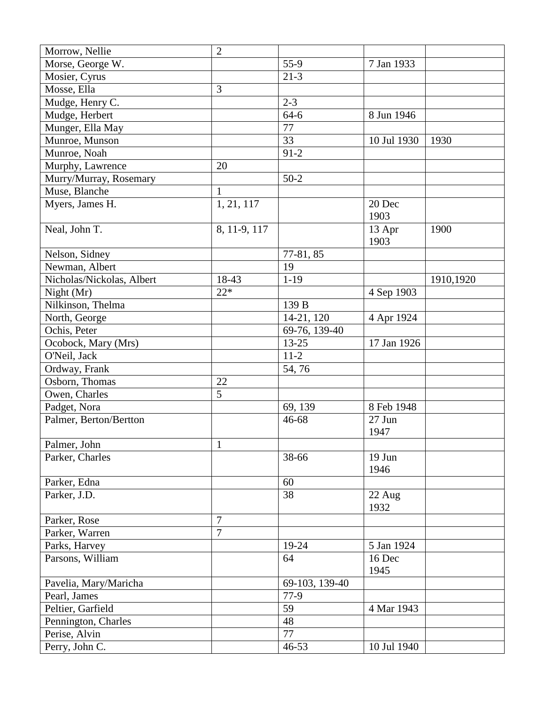| Morrow, Nellie            | $\overline{2}$ |                |                          |           |
|---------------------------|----------------|----------------|--------------------------|-----------|
| Morse, George W.          |                | 55-9           | 7 Jan 1933               |           |
| Mosier, Cyrus             |                | $21 - 3$       |                          |           |
| Mosse, Ella               | 3              |                |                          |           |
| Mudge, Henry C.           |                | $2 - 3$        |                          |           |
| Mudge, Herbert            |                | $64-6$         | 8 Jun 1946               |           |
| Munger, Ella May          |                | 77             |                          |           |
| Munroe, Munson            |                | 33             | $\overline{10}$ Jul 1930 | 1930      |
| Munroe, Noah              |                | $91 - 2$       |                          |           |
| Murphy, Lawrence          | 20             |                |                          |           |
| Murry/Murray, Rosemary    |                | $50-2$         |                          |           |
| Muse, Blanche             | $\mathbf{1}$   |                |                          |           |
| Myers, James H.           | 1, 21, 117     |                | 20 Dec                   |           |
|                           |                |                | 1903                     |           |
| Neal, John T.             | 8, 11-9, 117   |                | 13 Apr                   | 1900      |
|                           |                |                | 1903                     |           |
| Nelson, Sidney            |                | 77-81, 85      |                          |           |
| Newman, Albert            |                | 19             |                          |           |
| Nicholas/Nickolas, Albert | 18-43          | $1 - 19$       |                          | 1910,1920 |
| Night $(Mr)$              | $22*$          |                | 4 Sep 1903               |           |
| Nilkinson, Thelma         |                | 139 B          |                          |           |
| North, George             |                | 14-21, 120     | 4 Apr 1924               |           |
| Ochis, Peter              |                | 69-76, 139-40  |                          |           |
| Ocobock, Mary (Mrs)       |                | $13 - 25$      | 17 Jan 1926              |           |
| O'Neil, Jack              |                | $11-2$         |                          |           |
| Ordway, Frank             |                | 54,76          |                          |           |
| Osborn, Thomas            | 22             |                |                          |           |
| Owen, Charles             | 5              |                |                          |           |
| Padget, Nora              |                | 69, 139        | 8 Feb 1948               |           |
| Palmer, Berton/Bertton    |                | 46-68          | 27 Jun                   |           |
|                           |                |                | 1947                     |           |
| Palmer, John              | $\mathbf{1}$   |                |                          |           |
| Parker, Charles           |                | 38-66          | 19 Jun                   |           |
|                           |                |                | 1946                     |           |
| Parker, Edna              |                | 60             |                          |           |
| Parker, J.D.              |                | 38             | 22 Aug                   |           |
|                           |                |                | 1932                     |           |
| Parker, Rose              | 7              |                |                          |           |
| Parker, Warren            | $\overline{7}$ |                |                          |           |
| Parks, Harvey             |                | 19-24          | 5 Jan 1924               |           |
| Parsons, William          |                | 64             | 16 Dec                   |           |
|                           |                |                | 1945                     |           |
| Pavelia, Mary/Maricha     |                | 69-103, 139-40 |                          |           |
| Pearl, James              |                | $77-9$         |                          |           |
| Peltier, Garfield         |                | 59             | 4 Mar 1943               |           |
| Pennington, Charles       |                | 48             |                          |           |
| Perise, Alvin             |                | 77             |                          |           |
| Perry, John C.            |                | $46 - 53$      | 10 Jul 1940              |           |
|                           |                |                |                          |           |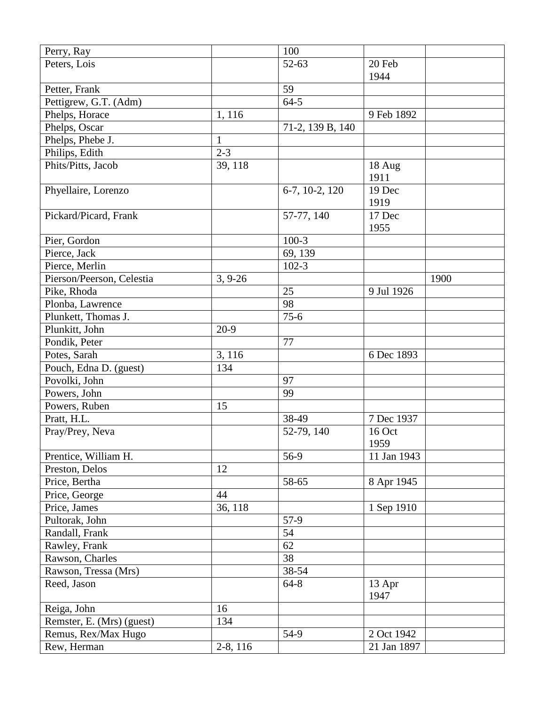| Perry, Ray                |              | 100              |             |      |
|---------------------------|--------------|------------------|-------------|------|
| Peters, Lois              |              | 52-63            | 20 Feb      |      |
|                           |              |                  | 1944        |      |
| Petter, Frank             |              | 59               |             |      |
| Pettigrew, G.T. (Adm)     |              | $64 - 5$         |             |      |
| Phelps, Horace            | 1, 116       |                  | 9 Feb 1892  |      |
| Phelps, Oscar             |              | 71-2, 139 B, 140 |             |      |
| Phelps, Phebe J.          | $\mathbf{1}$ |                  |             |      |
| Philips, Edith            | $2 - 3$      |                  |             |      |
| Phits/Pitts, Jacob        | 39, 118      |                  | 18 Aug      |      |
|                           |              |                  | 1911        |      |
| Phyellaire, Lorenzo       |              | 6-7, 10-2, 120   | 19 Dec      |      |
|                           |              |                  | 1919        |      |
| Pickard/Picard, Frank     |              | 57-77, 140       | 17 Dec      |      |
|                           |              |                  | 1955        |      |
| Pier, Gordon              |              | $100-3$          |             |      |
| Pierce, Jack              |              | 69, 139          |             |      |
| Pierce, Merlin            |              | $102 - 3$        |             |      |
| Pierson/Peerson, Celestia | $3, 9-26$    |                  |             | 1900 |
| Pike, Rhoda               |              | 25               | 9 Jul 1926  |      |
| Plonba, Lawrence          |              | 98               |             |      |
| Plunkett, Thomas J.       |              | $75 - 6$         |             |      |
| Plunkitt, John            | $20-9$       |                  |             |      |
| Pondik, Peter             |              | 77               |             |      |
|                           |              |                  | 6 Dec 1893  |      |
| Potes, Sarah              | 3, 116       |                  |             |      |
| Pouch, Edna D. (guest)    | 134          | 97               |             |      |
| Povolki, John             |              |                  |             |      |
| Powers, John              |              | 99               |             |      |
| Powers, Ruben             | 15           |                  |             |      |
| Pratt, H.L.               |              | 38-49            | 7 Dec 1937  |      |
| Pray/Prey, Neva           |              | 52-79, 140       | 16 Oct      |      |
|                           |              |                  | 1959        |      |
| Prentice, William H.      |              | 56-9             | 11 Jan 1943 |      |
| Preston, Delos            | 12           |                  |             |      |
| Price, Bertha             |              | 58-65            | 8 Apr 1945  |      |
| Price, George             | 44           |                  |             |      |
| Price, James              | 36, 118      |                  | 1 Sep 1910  |      |
| Pultorak, John            |              | 57-9             |             |      |
| Randall, Frank            |              | 54               |             |      |
| Rawley, Frank             |              | 62               |             |      |
| Rawson, Charles           |              | 38               |             |      |
| Rawson, Tressa (Mrs)      |              | 38-54            |             |      |
| Reed, Jason               |              | $64 - 8$         | 13 Apr      |      |
|                           |              |                  | 1947        |      |
| Reiga, John               | 16           |                  |             |      |
| Remster, E. (Mrs) (guest) | 134          |                  |             |      |
| Remus, Rex/Max Hugo       |              | 54-9             | 2 Oct 1942  |      |
| Rew, Herman               | 2-8, 116     |                  | 21 Jan 1897 |      |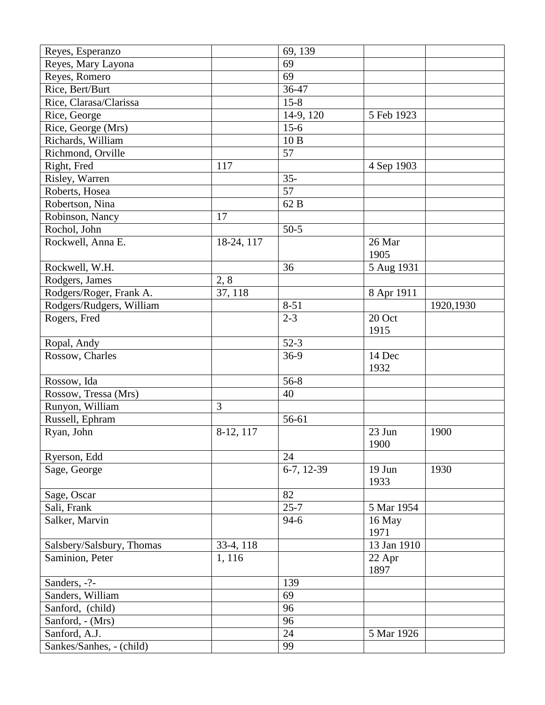| Reyes, Esperanzo          |              | 69, 139    |             |           |
|---------------------------|--------------|------------|-------------|-----------|
| Reyes, Mary Layona        |              | 69         |             |           |
| Reyes, Romero             |              | 69         |             |           |
| Rice, Bert/Burt           |              | 36-47      |             |           |
| Rice, Clarasa/Clarissa    |              | $15-8$     |             |           |
| Rice, George              |              | 14-9, 120  | 5 Feb 1923  |           |
| Rice, George (Mrs)        |              | $15-6$     |             |           |
| Richards, William         |              | 10B        |             |           |
| Richmond, Orville         |              | 57         |             |           |
| Right, Fred               | 117          |            | 4 Sep 1903  |           |
| Risley, Warren            |              | $35 -$     |             |           |
| Roberts, Hosea            |              | 57         |             |           |
| Robertson, Nina           |              | 62 B       |             |           |
| Robinson, Nancy           | 17           |            |             |           |
| Rochol, John              |              | $50-5$     |             |           |
| Rockwell, Anna E.         | $18-24, 117$ |            | 26 Mar      |           |
|                           |              |            | 1905        |           |
| Rockwell, W.H.            |              | 36         | 5 Aug 1931  |           |
| Rodgers, James            | 2, 8         |            |             |           |
| Rodgers/Roger, Frank A.   | 37, 118      |            | 8 Apr 1911  |           |
| Rodgers/Rudgers, William  |              | $8 - 51$   |             | 1920,1930 |
| Rogers, Fred              |              | $2 - 3$    | 20 Oct      |           |
|                           |              |            | 1915        |           |
| Ropal, Andy               |              | $52-3$     |             |           |
| Rossow, Charles           |              | $36-9$     | 14 Dec      |           |
|                           |              |            | 1932        |           |
| Rossow, Ida               |              | $56 - 8$   |             |           |
| Rossow, Tressa (Mrs)      |              | 40         |             |           |
| Runyon, William           | 3            |            |             |           |
| Russell, Ephram           |              | 56-61      |             |           |
| Ryan, John                | 8-12, 117    |            | 23 Jun      | 1900      |
|                           |              |            | 1900        |           |
| Ryerson, Edd              |              | 24         |             |           |
| Sage, George              |              | 6-7, 12-39 | 19 Jun      | 1930      |
|                           |              |            | 1933        |           |
| Sage, Oscar               |              | 82         |             |           |
| Sali, Frank               |              | $25 - 7$   | 5 Mar 1954  |           |
| Salker, Marvin            |              | $94-6$     | 16 May      |           |
|                           |              |            | 1971        |           |
| Salsbery/Salsbury, Thomas | 33-4, 118    |            | 13 Jan 1910 |           |
| Saminion, Peter           | 1,116        |            | 22 Apr      |           |
|                           |              |            | 1897        |           |
| Sanders, -?-              |              | 139        |             |           |
| Sanders, William          |              | 69         |             |           |
| Sanford, (child)          |              | 96         |             |           |
| Sanford, - (Mrs)          |              | 96         |             |           |
| Sanford, A.J.             |              | 24         | 5 Mar 1926  |           |
| Sankes/Sanhes, - (child)  |              | 99         |             |           |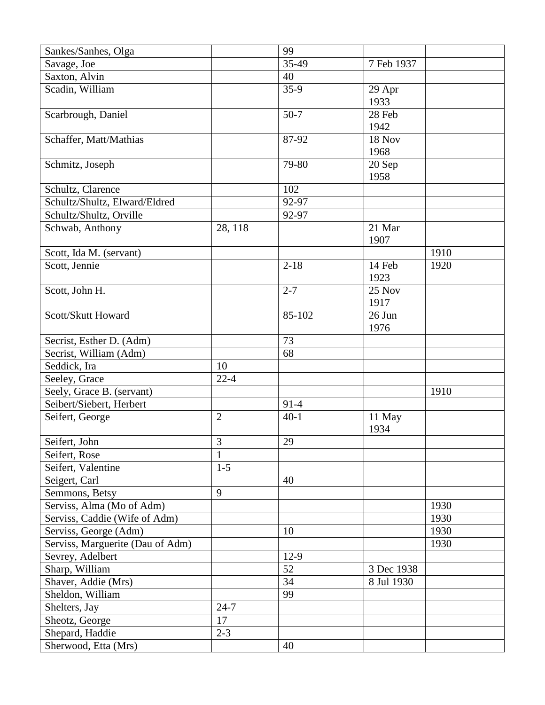| Sankes/Sanhes, Olga              |                | 99       |            |      |
|----------------------------------|----------------|----------|------------|------|
| Savage, Joe                      |                | 35-49    | 7 Feb 1937 |      |
| Saxton, Alvin                    |                | 40       |            |      |
| Scadin, William                  |                | $35-9$   | 29 Apr     |      |
|                                  |                |          | 1933       |      |
| Scarbrough, Daniel               |                | $50-7$   | 28 Feb     |      |
|                                  |                |          | 1942       |      |
| Schaffer, Matt/Mathias           |                | 87-92    | 18 Nov     |      |
|                                  |                |          | 1968       |      |
| Schmitz, Joseph                  |                | 79-80    | 20 Sep     |      |
|                                  |                |          | 1958       |      |
| Schultz, Clarence                |                | 102      |            |      |
| Schultz/Shultz, Elward/Eldred    |                | 92-97    |            |      |
| Schultz/Shultz, Orville          |                | 92-97    |            |      |
| Schwab, Anthony                  | 28, 118        |          | 21 Mar     |      |
|                                  |                |          | 1907       |      |
| Scott, Ida M. (servant)          |                |          |            | 1910 |
| Scott, Jennie                    |                | $2 - 18$ | 14 Feb     | 1920 |
|                                  |                |          | 1923       |      |
| Scott, John H.                   |                | $2 - 7$  | 25 Nov     |      |
|                                  |                |          | 1917       |      |
| Scott/Skutt Howard               |                | 85-102   | 26 Jun     |      |
|                                  |                |          | 1976       |      |
| Secrist, Esther D. (Adm)         |                | 73       |            |      |
| Secrist, William (Adm)           |                | 68       |            |      |
| Seddick, Ira                     | 10             |          |            |      |
| Seeley, Grace                    | $22 - 4$       |          |            |      |
| Seely, Grace B. (servant)        |                |          |            | 1910 |
| Seibert/Siebert, Herbert         |                | $91 - 4$ |            |      |
| Seifert, George                  | $\overline{2}$ | $40-1$   | 11 May     |      |
|                                  |                |          | 1934       |      |
| Seifert, John                    | $\mathfrak{Z}$ | 29       |            |      |
| Seifert, Rose                    | $\mathbf{1}$   |          |            |      |
| Seifert, Valentine               | $1-5$          |          |            |      |
| Seigert, Carl                    |                | 40       |            |      |
| Semmons, Betsy                   | 9              |          |            |      |
| Serviss, Alma (Mo of Adm)        |                |          |            | 1930 |
| Serviss, Caddie (Wife of Adm)    |                |          |            | 1930 |
| Serviss, George (Adm)            |                | 10       |            | 1930 |
| Serviss, Marguerite (Dau of Adm) |                |          |            | 1930 |
| Sevrey, Adelbert                 |                | $12-9$   |            |      |
| Sharp, William                   |                | 52       | 3 Dec 1938 |      |
| Shaver, Addie (Mrs)              |                | 34       | 8 Jul 1930 |      |
| Sheldon, William                 |                | 99       |            |      |
| Shelters, Jay                    | $24 - 7$       |          |            |      |
| Sheotz, George                   | 17             |          |            |      |
| Shepard, Haddie                  | $2 - 3$        |          |            |      |
| Sherwood, Etta (Mrs)             |                | 40       |            |      |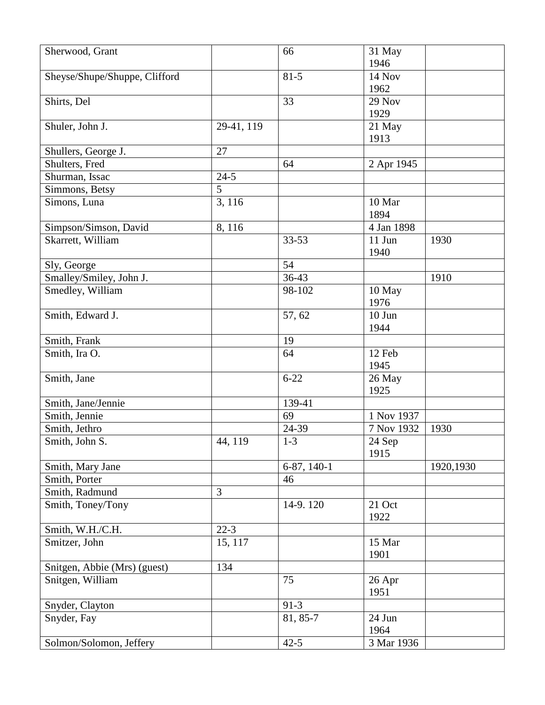| Sherwood, Grant               |            | 66            | 31 May     |           |
|-------------------------------|------------|---------------|------------|-----------|
|                               |            |               | 1946       |           |
| Sheyse/Shupe/Shuppe, Clifford |            | $81 - 5$      | 14 Nov     |           |
|                               |            |               | 1962       |           |
| Shirts, Del                   |            | 33            | 29 Nov     |           |
|                               |            |               | 1929       |           |
| Shuler, John J.               | 29-41, 119 |               | 21 May     |           |
|                               |            |               | 1913       |           |
| Shullers, George J.           | 27         |               |            |           |
| Shulters, Fred                |            | 64            | 2 Apr 1945 |           |
| Shurman, Issac                | $24 - 5$   |               |            |           |
| Simmons, Betsy                | 5          |               |            |           |
| Simons, Luna                  | 3, 116     |               | 10 Mar     |           |
|                               |            |               | 1894       |           |
| Simpson/Simson, David         | 8,116      |               | 4 Jan 1898 |           |
| Skarrett, William             |            | $33 - 53$     | 11 Jun     | 1930      |
|                               |            |               | 1940       |           |
| Sly, George                   |            | 54            |            |           |
| Smalley/Smiley, John J.       |            | $36-43$       |            | 1910      |
| Smedley, William              |            | 98-102        | 10 May     |           |
|                               |            |               | 1976       |           |
| Smith, Edward J.              |            | 57,62         | $10$ Jun   |           |
|                               |            |               | 1944       |           |
| Smith, Frank                  |            | 19            |            |           |
| Smith, Ira O.                 |            | 64            | 12 Feb     |           |
|                               |            |               | 1945       |           |
| Smith, Jane                   |            | $6 - 22$      | 26 May     |           |
|                               |            |               | 1925       |           |
| Smith, Jane/Jennie            |            | 139-41        |            |           |
| Smith, Jennie                 |            | 69            | 1 Nov 1937 |           |
| Smith, Jethro                 |            | 24-39         | 7 Nov 1932 | 1930      |
| Smith, John S.                | 44, 119    | $1 - 3$       | 24 Sep     |           |
|                               |            |               | 1915       |           |
| Smith, Mary Jane              |            | $6-87, 140-1$ |            | 1920,1930 |
| Smith, Porter                 |            | 46            |            |           |
| Smith, Radmund                | 3          |               |            |           |
| Smith, Toney/Tony             |            | 14-9.120      | 21 Oct     |           |
|                               |            |               | 1922       |           |
| Smith, W.H./C.H.              | $22-3$     |               |            |           |
| Smitzer, John                 | 15, 117    |               | 15 Mar     |           |
|                               |            |               | 1901       |           |
| Snitgen, Abbie (Mrs) (guest)  | 134        |               |            |           |
| Snitgen, William              |            | 75            | 26 Apr     |           |
|                               |            |               | 1951       |           |
| Snyder, Clayton               |            | $91-3$        |            |           |
| Snyder, Fay                   |            | 81, 85-7      | 24 Jun     |           |
|                               |            |               | 1964       |           |
| Solmon/Solomon, Jeffery       |            | $42 - 5$      | 3 Mar 1936 |           |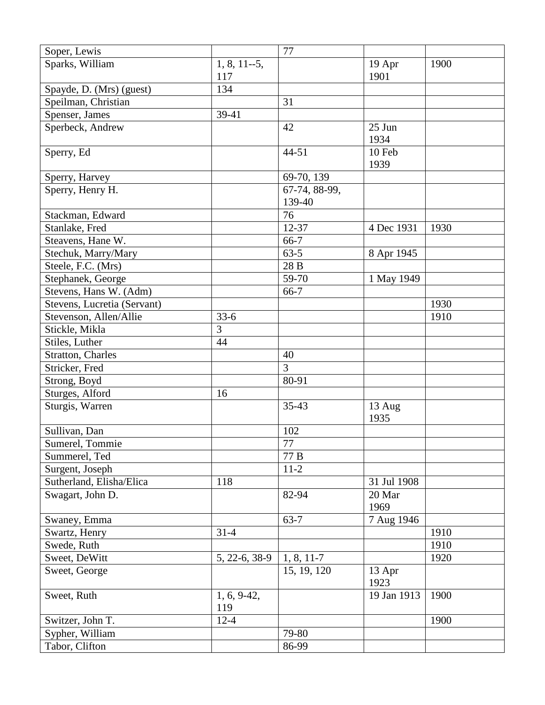| Soper, Lewis                |                 | 77               |             |      |
|-----------------------------|-----------------|------------------|-------------|------|
| Sparks, William             | $1, 8, 11 - 5,$ |                  | 19 Apr      | 1900 |
|                             | 117             |                  | 1901        |      |
| Spayde, D. (Mrs) (guest)    | 134             |                  |             |      |
| Speilman, Christian         |                 | 31               |             |      |
| Spenser, James              | 39-41           |                  |             |      |
| Sperbeck, Andrew            |                 | 42               | 25 Jun      |      |
|                             |                 |                  | 1934        |      |
| Sperry, Ed                  |                 | $44 - 51$        | 10 Feb      |      |
|                             |                 |                  | 1939        |      |
| Sperry, Harvey              |                 | 69-70, 139       |             |      |
| Sperry, Henry H.            |                 | 67-74, 88-99,    |             |      |
|                             |                 | 139-40           |             |      |
| Stackman, Edward            |                 | 76               |             |      |
| Stanlake, Fred              |                 | 12-37            | 4 Dec 1931  | 1930 |
| Steavens, Hane W.           |                 | $66-7$           |             |      |
| Stechuk, Marry/Mary         |                 | $63 - 5$         | 8 Apr 1945  |      |
| Steele, F.C. (Mrs)          |                 | 28 B             |             |      |
| Stephanek, George           |                 | 59-70            | 1 May 1949  |      |
| Stevens, Hans W. (Adm)      |                 | 66-7             |             |      |
| Stevens, Lucretia (Servant) |                 |                  |             | 1930 |
| Stevenson, Allen/Allie      | $33-6$          |                  |             | 1910 |
| Stickle, Mikla              | 3               |                  |             |      |
| Stiles, Luther              | 44              |                  |             |      |
| <b>Stratton, Charles</b>    |                 | 40               |             |      |
| Stricker, Fred              |                 | 3                |             |      |
| Strong, Boyd                |                 | 80-91            |             |      |
| Sturges, Alford             | 16              |                  |             |      |
| Sturgis, Warren             |                 | $35 - 43$        | 13 Aug      |      |
|                             |                 |                  | 1935        |      |
| Sullivan, Dan               |                 | 102              |             |      |
| Sumerel, Tommie             |                 | $77\,$           |             |      |
| Summerel, Ted               |                 | $77\;\mathrm{B}$ |             |      |
| Surgent, Joseph             |                 | $11-2$           |             |      |
| Sutherland, Elisha/Elica    | 118             |                  | 31 Jul 1908 |      |
| Swagart, John D.            |                 | 82-94            | 20 Mar      |      |
|                             |                 |                  | 1969        |      |
| Swaney, Emma                |                 | $63 - 7$         | 7 Aug 1946  |      |
| Swartz, Henry               | $31 - 4$        |                  |             | 1910 |
| Swede, Ruth                 |                 |                  |             | 1910 |
| Sweet, DeWitt               | 5, 22-6, 38-9   | $1, 8, 11-7$     |             | 1920 |
| Sweet, George               |                 | 15, 19, 120      | 13 Apr      |      |
|                             |                 |                  | 1923        |      |
| Sweet, Ruth                 | $1, 6, 9-42,$   |                  | 19 Jan 1913 | 1900 |
|                             | 119             |                  |             |      |
| Switzer, John T.            | $12 - 4$        |                  |             | 1900 |
| Sypher, William             |                 | 79-80            |             |      |
| Tabor, Clifton              |                 | 86-99            |             |      |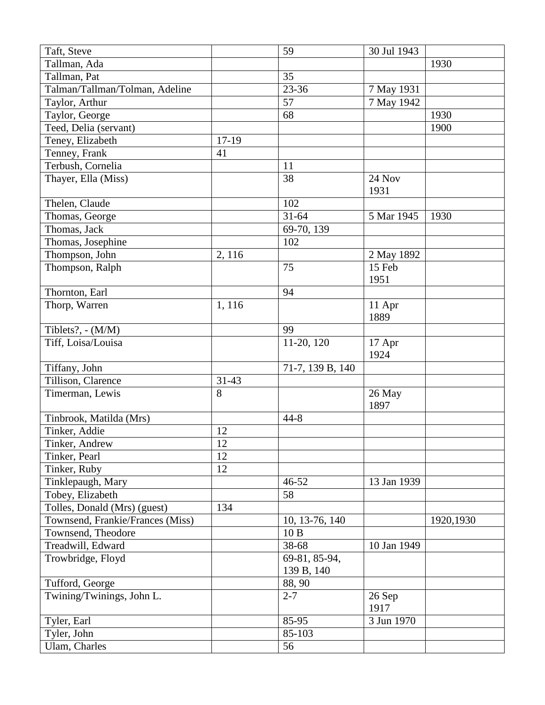| Taft, Steve                      |           | 59               | 30 Jul 1943 |           |
|----------------------------------|-----------|------------------|-------------|-----------|
| Tallman, Ada                     |           |                  |             | 1930      |
| Tallman, Pat                     |           | 35               |             |           |
| Talman/Tallman/Tolman, Adeline   |           | 23-36            | 7 May 1931  |           |
| Taylor, Arthur                   |           | 57               | 7 May 1942  |           |
| Taylor, George                   |           | 68               |             | 1930      |
| Teed, Delia (servant)            |           |                  |             | 1900      |
| Teney, Elizabeth                 | $17-19$   |                  |             |           |
| Tenney, Frank                    | 41        |                  |             |           |
| Terbush, Cornelia                |           | 11               |             |           |
| Thayer, Ella (Miss)              |           | 38               | 24 Nov      |           |
|                                  |           |                  | 1931        |           |
| Thelen, Claude                   |           | 102              |             |           |
| Thomas, George                   |           | $31 - 64$        | 5 Mar 1945  | 1930      |
| Thomas, Jack                     |           | 69-70, 139       |             |           |
| Thomas, Josephine                |           | 102              |             |           |
| Thompson, John                   | 2, 116    |                  | 2 May 1892  |           |
| Thompson, Ralph                  |           | 75               | 15 Feb      |           |
|                                  |           |                  | 1951        |           |
| Thornton, Earl                   |           | 94               |             |           |
| Thorp, Warren                    | 1,116     |                  | 11 Apr      |           |
|                                  |           |                  | 1889        |           |
| Tiblets?, - (M/M)                |           | 99               |             |           |
| Tiff, Loisa/Louisa               |           | 11-20, 120       | 17 Apr      |           |
|                                  |           |                  | 1924        |           |
| Tiffany, John                    |           | 71-7, 139 B, 140 |             |           |
| Tillison, Clarence               | $31 - 43$ |                  |             |           |
| Timerman, Lewis                  | 8         |                  | 26 May      |           |
|                                  |           |                  | 1897        |           |
| Tinbrook, Matilda (Mrs)          |           | $44 - 8$         |             |           |
| Tinker, Addie                    | 12        |                  |             |           |
| Tinker, Andrew                   | 12        |                  |             |           |
| Tinker, Pearl                    | 12        |                  |             |           |
| Tinker, Ruby                     | 12        |                  |             |           |
| Tinklepaugh, Mary                |           | 46-52            | 13 Jan 1939 |           |
| Tobey, Elizabeth                 |           | 58               |             |           |
| Tolles, Donald (Mrs) (guest)     | 134       |                  |             |           |
| Townsend, Frankie/Frances (Miss) |           | 10, 13-76, 140   |             | 1920,1930 |
| Townsend, Theodore               |           | 10B              |             |           |
| Treadwill, Edward                |           | 38-68            | 10 Jan 1949 |           |
| Trowbridge, Floyd                |           | 69-81, 85-94,    |             |           |
|                                  |           | 139 B, 140       |             |           |
| Tufford, George                  |           | 88, 90           |             |           |
| Twining/Twinings, John L.        |           | $2 - 7$          | 26 Sep      |           |
|                                  |           |                  | 1917        |           |
| Tyler, Earl                      |           | 85-95            | 3 Jun 1970  |           |
| Tyler, John                      |           | 85-103           |             |           |
| Ulam, Charles                    |           | 56               |             |           |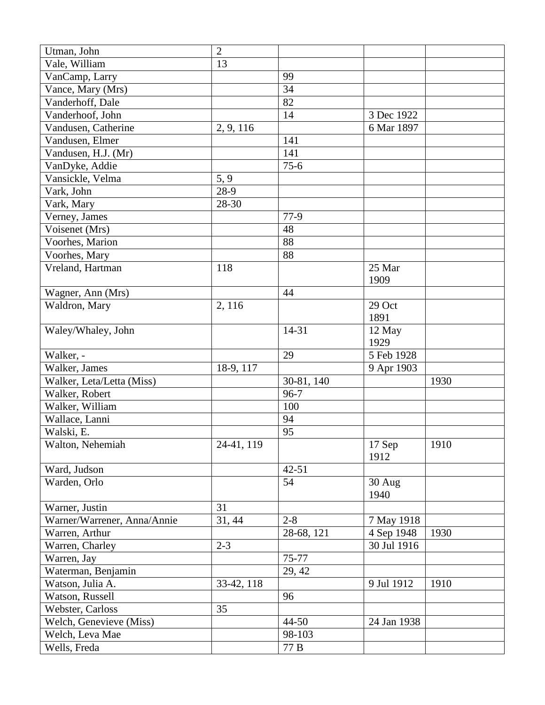| Utman, John                 | $\mathbf{2}$ |            |                      |      |
|-----------------------------|--------------|------------|----------------------|------|
| Vale, William               | 13           |            |                      |      |
| VanCamp, Larry              |              | 99         |                      |      |
| Vance, Mary (Mrs)           |              | 34         |                      |      |
| Vanderhoff, Dale            |              | 82         |                      |      |
| Vanderhoof, John            |              | 14         | 3 Dec 1922           |      |
| Vandusen, Catherine         | 2, 9, 116    |            | 6 Mar 1897           |      |
| Vandusen, Elmer             |              | 141        |                      |      |
| Vandusen, H.J. (Mr)         |              | 141        |                      |      |
| VanDyke, Addie              |              | $75-6$     |                      |      |
| Vansickle, Velma            | 5, 9         |            |                      |      |
| Vark, John                  | 28-9         |            |                      |      |
| Vark, Mary                  | 28-30        |            |                      |      |
| Verney, James               |              | 77-9       |                      |      |
| Voisenet (Mrs)              |              | 48         |                      |      |
| Voorhes, Marion             |              | 88         |                      |      |
| Voorhes, Mary               |              | 88         |                      |      |
| Vreland, Hartman            | 118          |            | 25 Mar               |      |
|                             |              |            | 1909                 |      |
| Wagner, Ann (Mrs)           |              | 44         |                      |      |
| Waldron, Mary               | 2, 116       |            | 29 Oct               |      |
|                             |              |            | 1891                 |      |
| Waley/Whaley, John          |              | 14-31      | 12 May               |      |
|                             |              |            | 1929                 |      |
| Walker, -                   |              | 29         | 5 Feb 1928           |      |
| Walker, James               | 18-9, 117    |            | 9 Apr 1903           |      |
| Walker, Leta/Letta (Miss)   |              | 30-81, 140 |                      | 1930 |
| Walker, Robert              |              | $96 - 7$   |                      |      |
| Walker, William             |              | 100        |                      |      |
| Wallace, Lanni              |              | 94         |                      |      |
| Walski, E.                  |              | 95         |                      |      |
| Walton, Nehemiah            | 24-41, 119   |            | $\overline{1}$ 7 Sep | 1910 |
|                             |              |            | 1912                 |      |
| Ward, Judson                |              | $42 - 51$  |                      |      |
| Warden, Orlo                |              | 54         | $30$ Aug             |      |
|                             |              |            | 1940                 |      |
| Warner, Justin              | 31           |            |                      |      |
| Warner/Warrener, Anna/Annie | 31, 44       | $2 - 8$    | 7 May 1918           |      |
| Warren, Arthur              |              | 28-68, 121 | 4 Sep 1948           | 1930 |
| Warren, Charley             | $2 - 3$      |            | 30 Jul 1916          |      |
| Warren, Jay                 |              | 75-77      |                      |      |
| Waterman, Benjamin          |              | 29, 42     |                      |      |
| Watson, Julia A.            | 33-42, 118   |            | 9 Jul 1912           | 1910 |
| Watson, Russell             |              | 96         |                      |      |
| Webster, Carloss            | 35           |            |                      |      |
| Welch, Genevieve (Miss)     |              | 44-50      | 24 Jan 1938          |      |
| Welch, Leva Mae             |              | 98-103     |                      |      |
| Wells, Freda                |              | 77 B       |                      |      |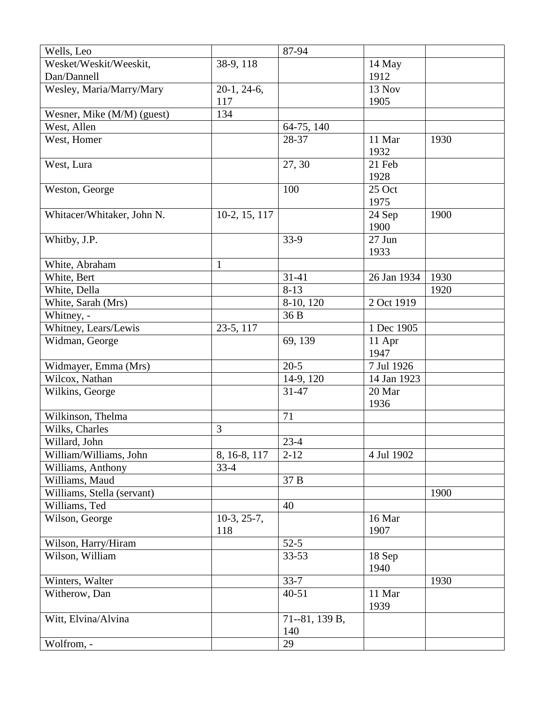| Wells, Leo                 |               | 87-94                 |                |      |
|----------------------------|---------------|-----------------------|----------------|------|
| Wesket/Weskit/Weeskit,     | 38-9, 118     |                       | 14 May         |      |
| Dan/Dannell                |               |                       | 1912           |      |
| Wesley, Maria/Marry/Mary   | $20-1, 24-6,$ |                       | 13 Nov         |      |
|                            | 117           |                       | 1905           |      |
| Wesner, Mike (M/M) (guest) | 134           |                       |                |      |
| West, Allen                |               | 64-75, 140            |                |      |
| West, Homer                |               | 28-37                 | 11 Mar         | 1930 |
|                            |               |                       | 1932           |      |
| West, Lura                 |               | 27, 30                | 21 Feb         |      |
|                            |               |                       | 1928           |      |
| Weston, George             |               | 100                   | 25 Oct         |      |
|                            |               |                       | 1975           |      |
| Whitacer/Whitaker, John N. | 10-2, 15, 117 |                       | 24 Sep         | 1900 |
|                            |               |                       | 1900           |      |
| Whitby, J.P.               |               | $33-9$                | 27 Jun         |      |
|                            |               |                       | 1933           |      |
| White, Abraham             | $\mathbf{1}$  |                       |                |      |
| White, Bert                |               | $31 - 41$             | 26 Jan 1934    | 1930 |
| White, Della               |               | $8-13$                |                | 1920 |
| White, Sarah (Mrs)         |               | 8-10, 120             | 2 Oct 1919     |      |
| Whitney, -                 |               | 36 B                  |                |      |
| Whitney, Lears/Lewis       | 23-5, 117     |                       | 1 Dec 1905     |      |
| Widman, George             |               | 69, 139               | 11 Apr         |      |
|                            |               |                       | 1947           |      |
| Widmayer, Emma (Mrs)       |               | $20-5$                | 7 Jul 1926     |      |
| Wilcox, Nathan             |               | 14-9, 120             | 14 Jan 1923    |      |
| Wilkins, George            |               | 31-47                 | 20 Mar         |      |
|                            |               |                       | 1936           |      |
| Wilkinson, Thelma          |               | 71                    |                |      |
| Wilks, Charles             | 3             |                       |                |      |
| Willard, John              |               | $23-4$                |                |      |
| William/Williams, John     | 8, 16-8, 117  | $2 - 12$              | 4 Jul 1902     |      |
| Williams, Anthony          | $33-4$        |                       |                |      |
| Williams, Maud             |               | 37 B                  |                |      |
| Williams, Stella (servant) |               |                       |                | 1900 |
| Williams, Ted              |               | 40                    |                |      |
| Wilson, George             | $10-3, 25-7,$ |                       | 16 Mar         |      |
|                            | 118           |                       | 1907           |      |
| Wilson, Harry/Hiram        |               | $52-5$                |                |      |
| Wilson, William            |               | 33-53                 | 18 Sep<br>1940 |      |
| Winters, Walter            |               | $33 - 7$              |                | 1930 |
| Witherow, Dan              |               | $40 - 51$             | 11 Mar<br>1939 |      |
| Witt, Elvina/Alvina        |               | 71--81, 139 B,<br>140 |                |      |
| Wolfrom, -                 |               | 29                    |                |      |
|                            |               |                       |                |      |